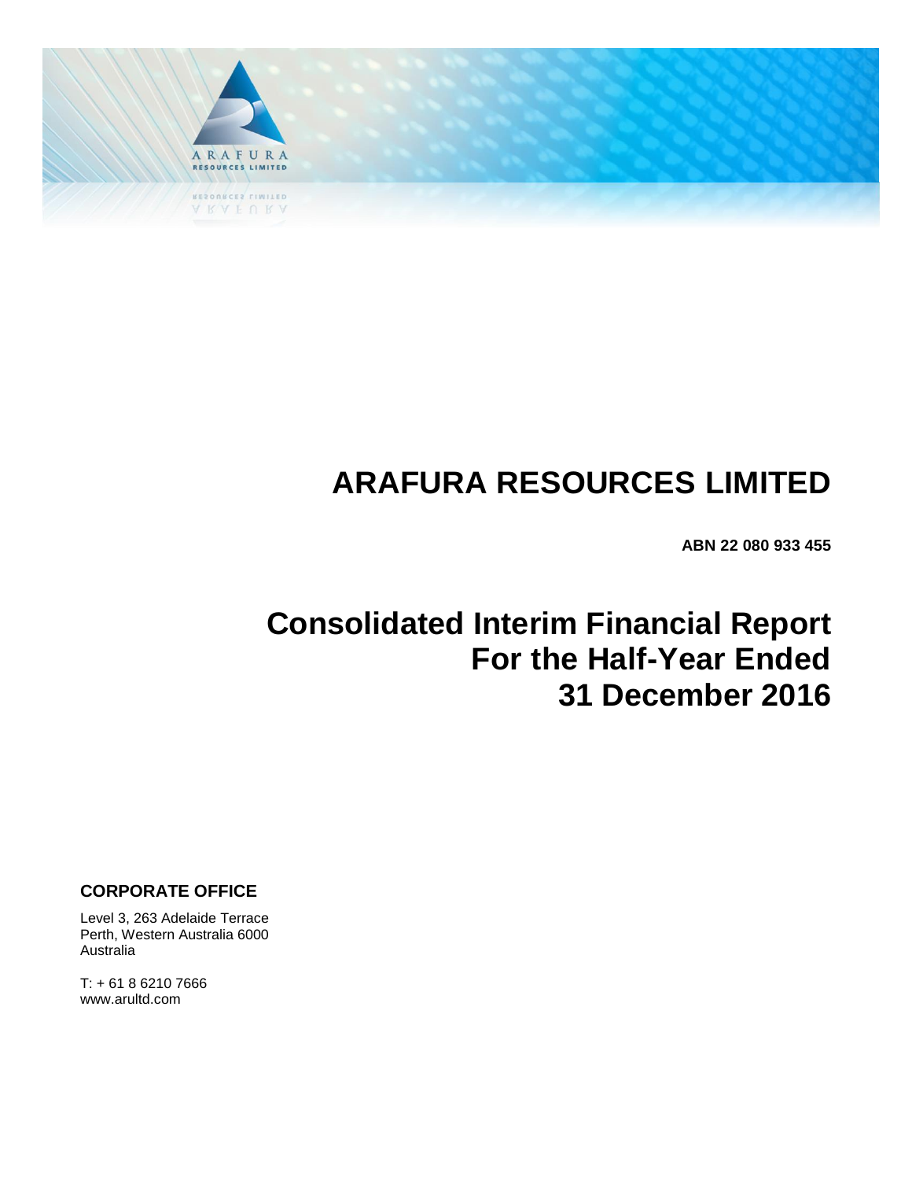

# **ARAFURA RESOURCES LIMITED**

**ABN 22 080 933 455**

# **Consolidated Interim Financial Report For the Half-Year Ended 31 December 2016**

# **CORPORATE OFFICE**

Level 3, 263 Adelaide Terrace Perth, Western Australia 6000 Australia

T: + 61 8 6210 7666 www.arultd.com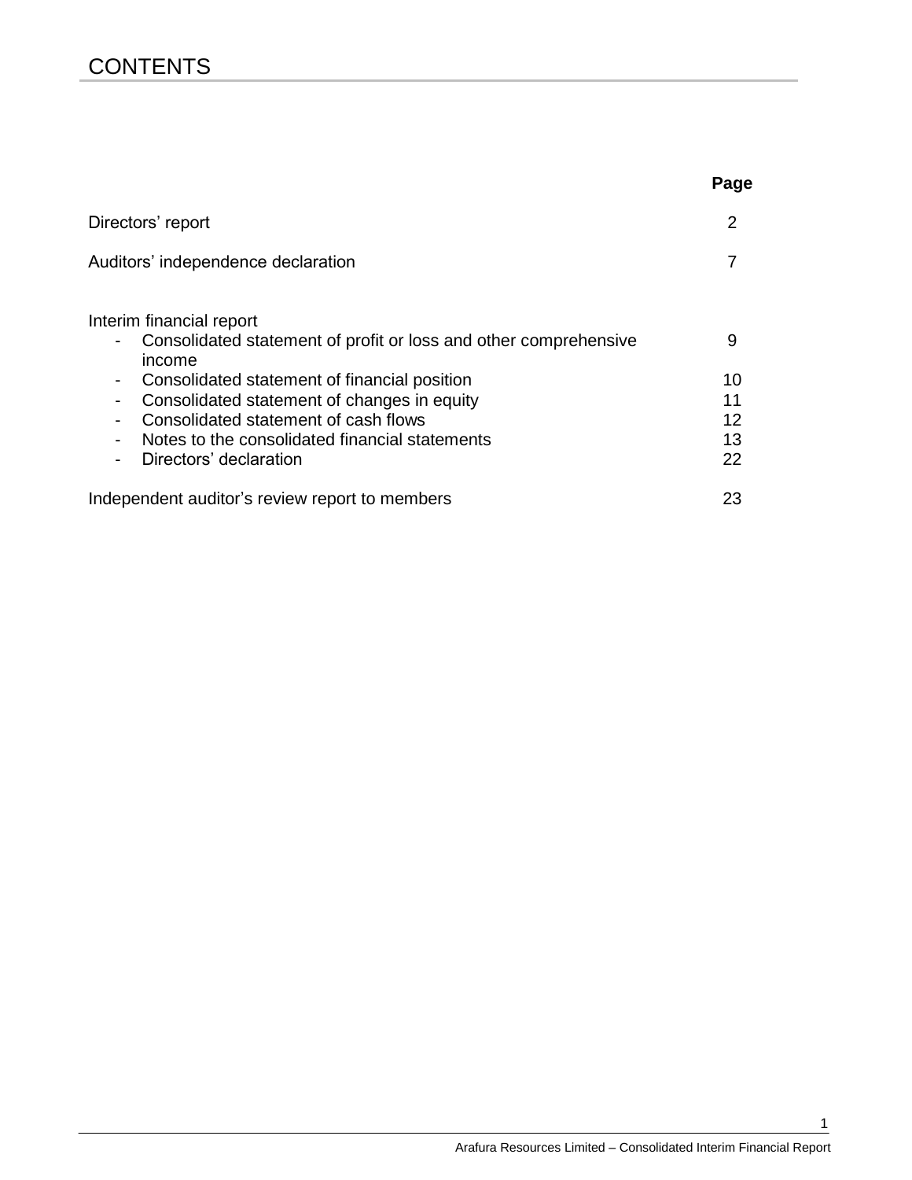# **CONTENTS**

|                                                                                                                          | Page |
|--------------------------------------------------------------------------------------------------------------------------|------|
| Directors' report                                                                                                        | 2    |
| Auditors' independence declaration                                                                                       |      |
| Interim financial report<br>Consolidated statement of profit or loss and other comprehensive<br>$\blacksquare$<br>income | 9    |
| Consolidated statement of financial position<br>۰                                                                        | 10   |
| Consolidated statement of changes in equity<br>$\blacksquare$                                                            | 11   |
| Consolidated statement of cash flows                                                                                     | 12   |
| Notes to the consolidated financial statements<br>٠                                                                      | 13   |
| Directors' declaration<br>$\blacksquare$                                                                                 | 22   |
| Independent auditor's review report to members                                                                           | 23   |

1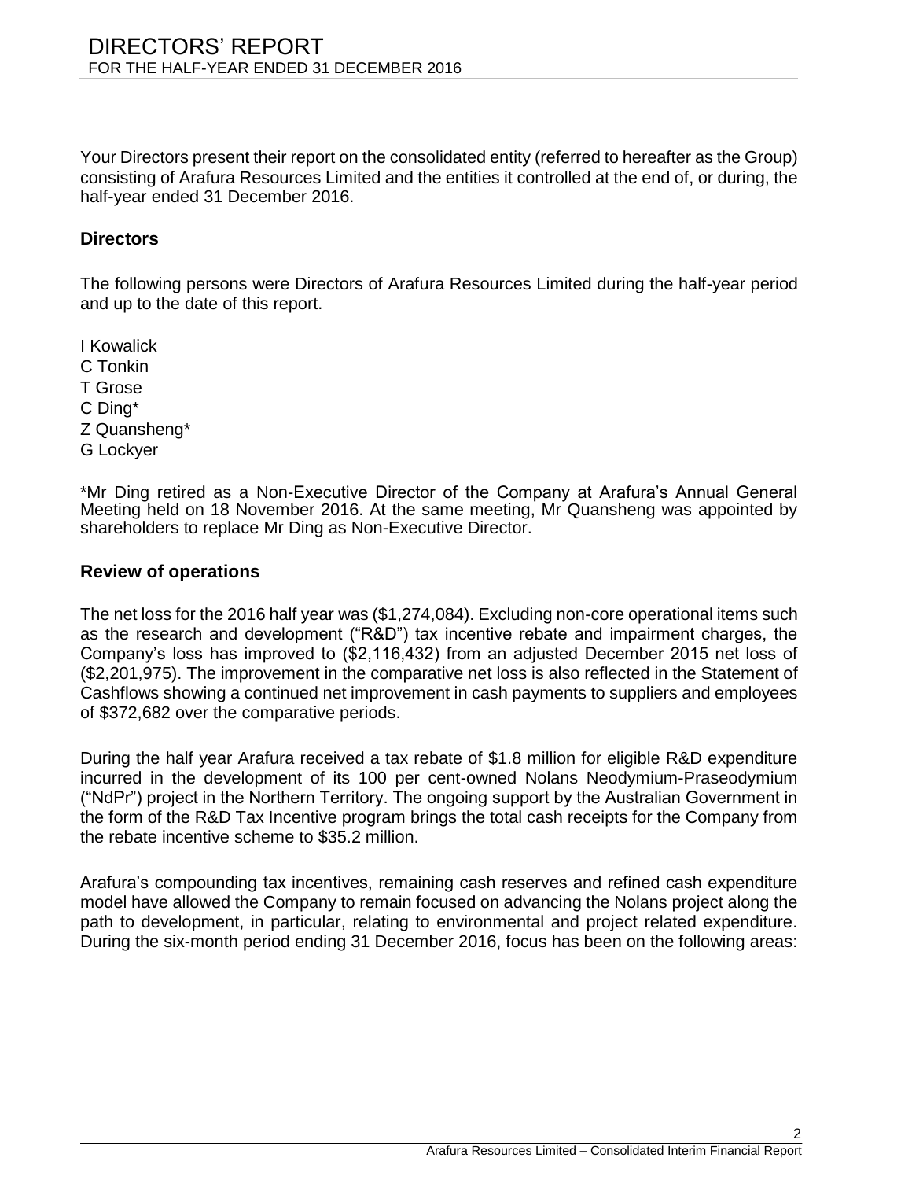Your Directors present their report on the consolidated entity (referred to hereafter as the Group) consisting of Arafura Resources Limited and the entities it controlled at the end of, or during, the half-year ended 31 December 2016.

#### **Directors**

The following persons were Directors of Arafura Resources Limited during the half-year period and up to the date of this report.

I Kowalick C Tonkin T Grose C Ding\* Z Quansheng\* G Lockyer

\*Mr Ding retired as a Non-Executive Director of the Company at Arafura's Annual General Meeting held on 18 November 2016. At the same meeting, Mr Quansheng was appointed by shareholders to replace Mr Ding as Non-Executive Director.

#### **Review of operations**

The net loss for the 2016 half year was (\$1,274,084). Excluding non-core operational items such as the research and development ("R&D") tax incentive rebate and impairment charges, the Company's loss has improved to (\$2,116,432) from an adjusted December 2015 net loss of (\$2,201,975). The improvement in the comparative net loss is also reflected in the Statement of Cashflows showing a continued net improvement in cash payments to suppliers and employees of \$372,682 over the comparative periods.

During the half year Arafura received a tax rebate of \$1.8 million for eligible R&D expenditure incurred in the development of its 100 per cent-owned Nolans Neodymium-Praseodymium ("NdPr") project in the Northern Territory. The ongoing support by the Australian Government in the form of the R&D Tax Incentive program brings the total cash receipts for the Company from the rebate incentive scheme to \$35.2 million.

Arafura's compounding tax incentives, remaining cash reserves and refined cash expenditure model have allowed the Company to remain focused on advancing the Nolans project along the path to development, in particular, relating to environmental and project related expenditure. During the six-month period ending 31 December 2016, focus has been on the following areas: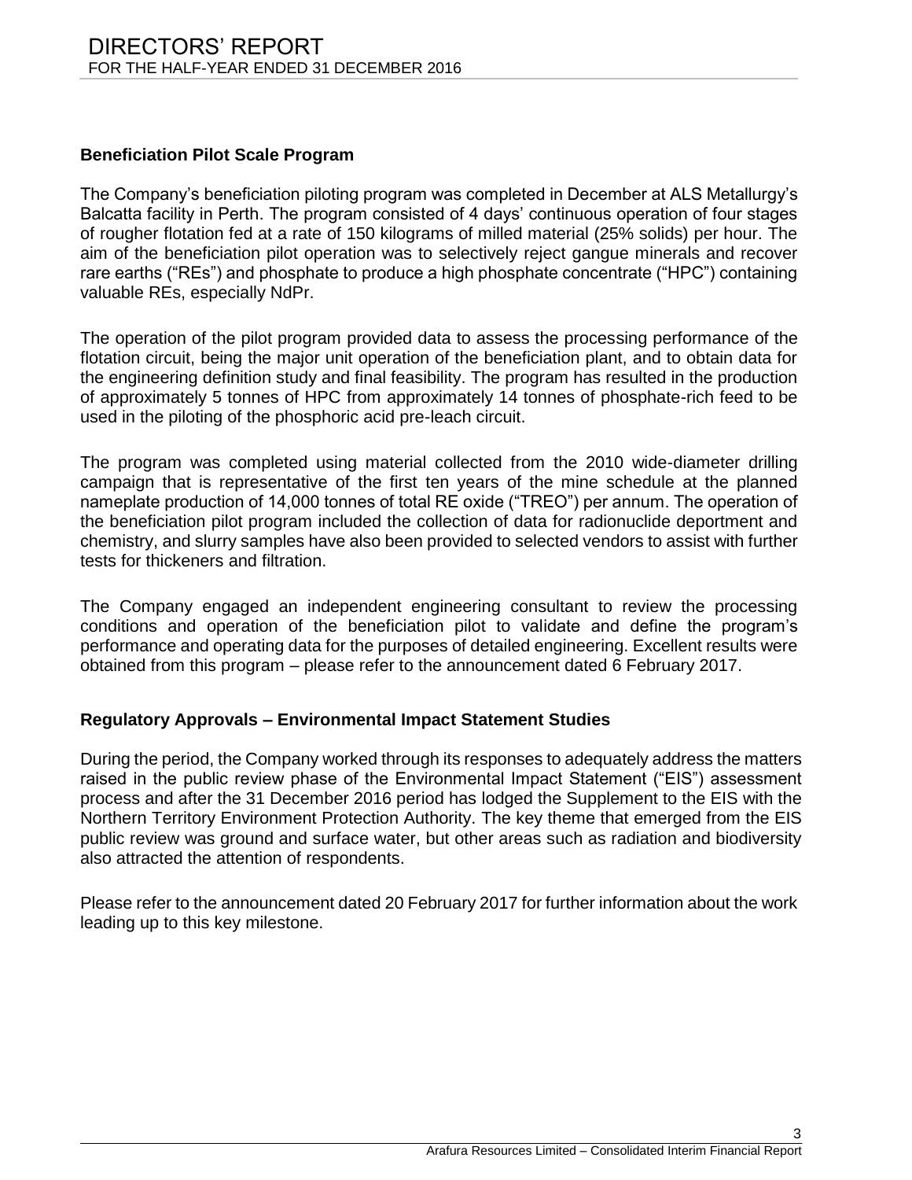#### **Beneficiation Pilot Scale Program**

The Company's beneficiation piloting program was completed in December at ALS Metallurgy's Balcatta facility in Perth. The program consisted of 4 days' continuous operation of four stages of rougher flotation fed at a rate of 150 kilograms of milled material (25% solids) per hour. The aim of the beneficiation pilot operation was to selectively reject gangue minerals and recover rare earths ("REs") and phosphate to produce a high phosphate concentrate ("HPC") containing valuable REs, especially NdPr.

The operation of the pilot program provided data to assess the processing performance of the flotation circuit, being the major unit operation of the beneficiation plant, and to obtain data for the engineering definition study and final feasibility. The program has resulted in the production of approximately 5 tonnes of HPC from approximately 14 tonnes of phosphate-rich feed to be used in the piloting of the phosphoric acid pre-leach circuit.

The program was completed using material collected from the 2010 wide-diameter drilling campaign that is representative of the first ten years of the mine schedule at the planned nameplate production of 14,000 tonnes of total RE oxide ("TREO") per annum. The operation of the beneficiation pilot program included the collection of data for radionuclide deportment and chemistry, and slurry samples have also been provided to selected vendors to assist with further tests for thickeners and filtration.

The Company engaged an independent engineering consultant to review the processing conditions and operation of the beneficiation pilot to validate and define the program's performance and operating data for the purposes of detailed engineering. Excellent results were obtained from this program – please refer to the announcement dated 6 February 2017.

## **Regulatory Approvals – Environmental Impact Statement Studies**

During the period, the Company worked through its responses to adequately address the matters raised in the public review phase of the Environmental Impact Statement ("EIS") assessment process and after the 31 December 2016 period has lodged the Supplement to the EIS with the Northern Territory Environment Protection Authority. The key theme that emerged from the EIS public review was ground and surface water, but other areas such as radiation and biodiversity also attracted the attention of respondents.

Please refer to the announcement dated 20 February 2017 for further information about the work leading up to this key milestone.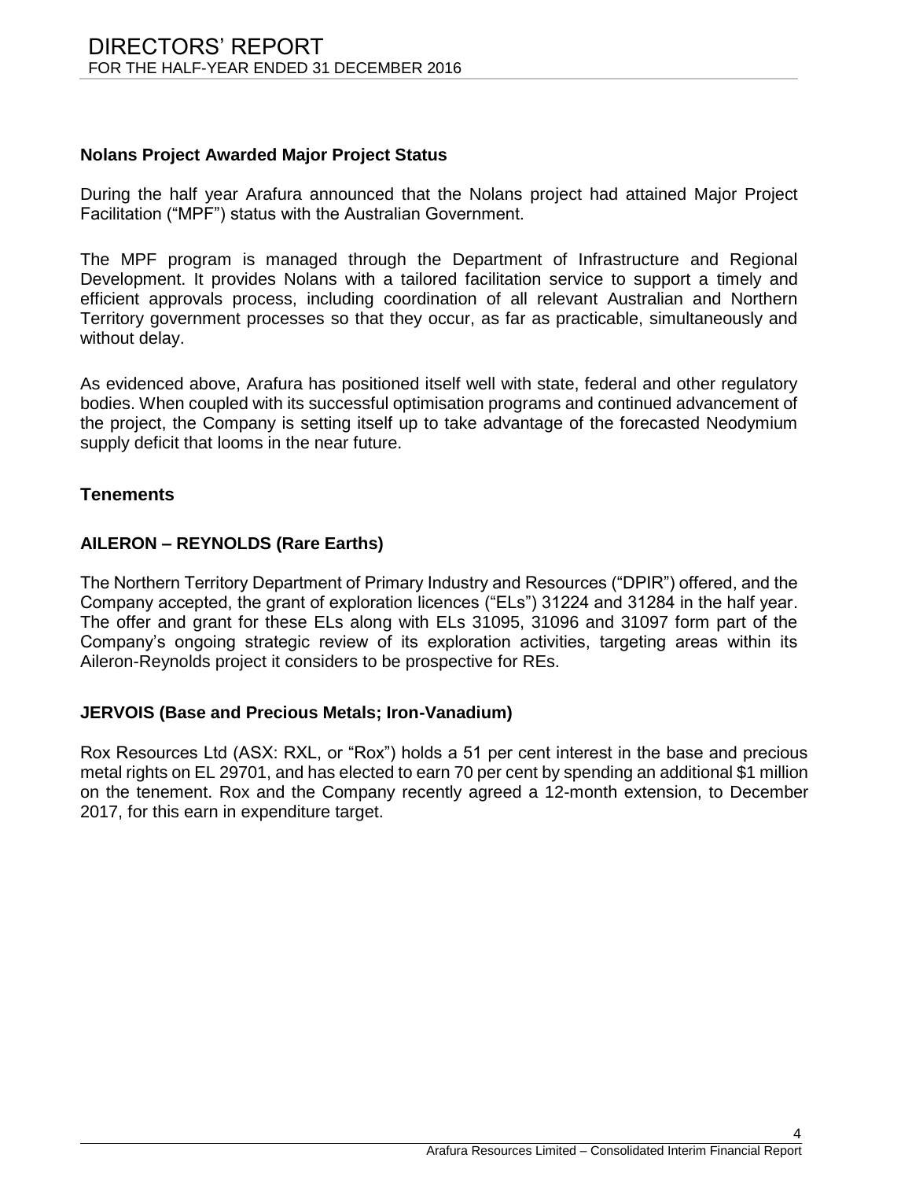#### **Nolans Project Awarded Major Project Status**

During the half year Arafura announced that the Nolans project had attained Major Project Facilitation ("MPF") status with the Australian Government.

The MPF program is managed through the Department of Infrastructure and Regional Development. It provides Nolans with a tailored facilitation service to support a timely and efficient approvals process, including coordination of all relevant Australian and Northern Territory government processes so that they occur, as far as practicable, simultaneously and without delay.

As evidenced above, Arafura has positioned itself well with state, federal and other regulatory bodies. When coupled with its successful optimisation programs and continued advancement of the project, the Company is setting itself up to take advantage of the forecasted Neodymium supply deficit that looms in the near future.

## **Tenements**

#### **AILERON – REYNOLDS (Rare Earths)**

The Northern Territory Department of Primary Industry and Resources ("DPIR") offered, and the Company accepted, the grant of exploration licences ("ELs") 31224 and 31284 in the half year. The offer and grant for these ELs along with ELs 31095, 31096 and 31097 form part of the Company's ongoing strategic review of its exploration activities, targeting areas within its Aileron-Reynolds project it considers to be prospective for REs.

#### **JERVOIS (Base and Precious Metals; Iron-Vanadium)**

Rox Resources Ltd (ASX: RXL, or "Rox") holds a 51 per cent interest in the base and precious metal rights on EL 29701, and has elected to earn 70 per cent by spending an additional \$1 million on the tenement. Rox and the Company recently agreed a 12-month extension, to December 2017, for this earn in expenditure target.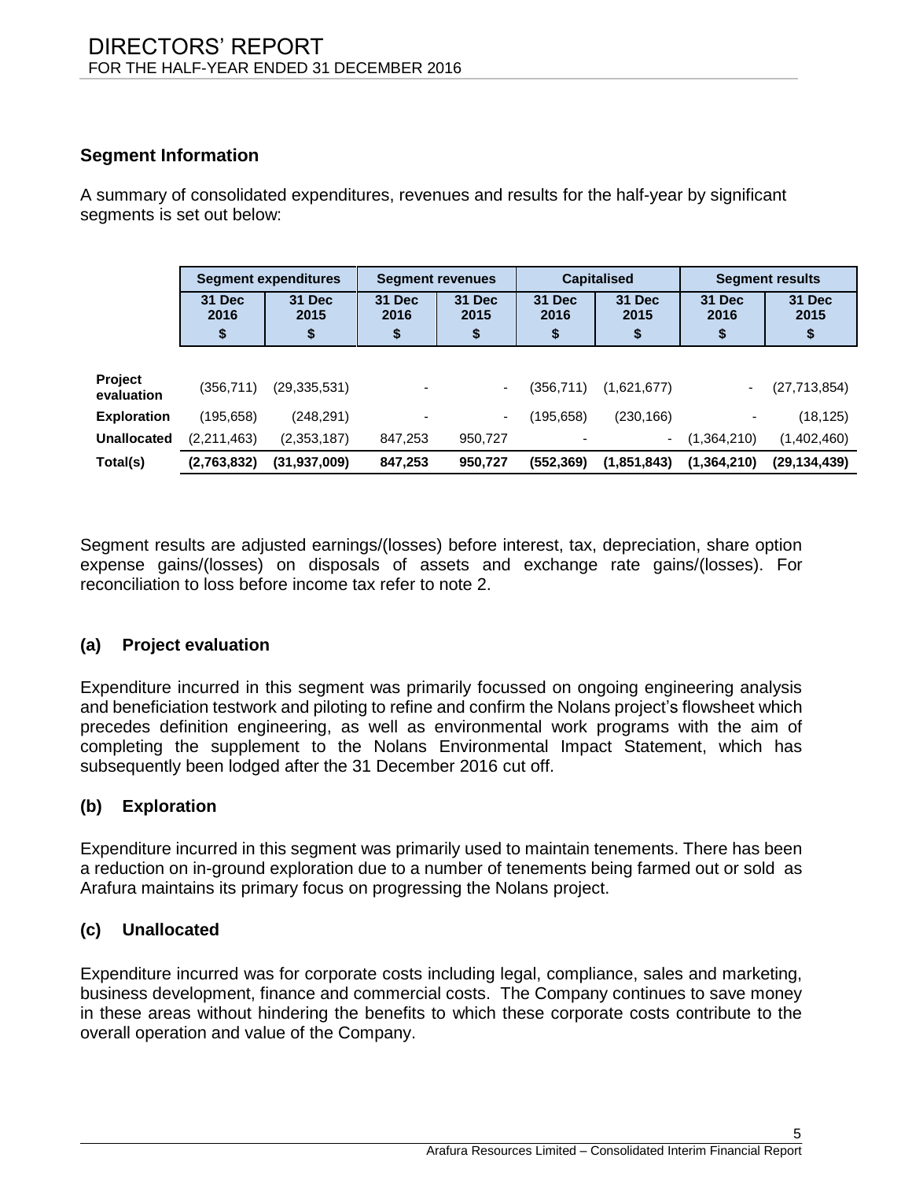# **Segment Information**

A summary of consolidated expenditures, revenues and results for the half-year by significant segments is set out below:

|                       |                | <b>Segment expenditures</b> | <b>Segment revenues</b> |                | <b>Capitalised</b>               |             |                | <b>Segment results</b> |  |
|-----------------------|----------------|-----------------------------|-------------------------|----------------|----------------------------------|-------------|----------------|------------------------|--|
|                       | 31 Dec<br>2016 | 31 Dec<br>2015              | 31 Dec<br>2016          | 31 Dec<br>2015 | 31 Dec<br>31 Dec<br>2016<br>2015 |             | 31 Dec<br>2016 | <b>31 Dec</b><br>2015  |  |
|                       | \$             | \$                          | จ                       | ⊅              | \$                               | \$          | Ð              | \$                     |  |
|                       |                |                             |                         |                |                                  |             |                |                        |  |
| Project<br>evaluation | (356, 711)     | (29, 335, 531)              |                         | ۰.             | (356,711)                        | (1,621,677) | ۰.             | (27, 713, 854)         |  |
| <b>Exploration</b>    | (195, 658)     | (248, 291)                  |                         | ۰              | (195,658)                        | (230, 166)  | -              | (18, 125)              |  |
| <b>Unallocated</b>    | (2,211,463)    | (2,353,187)                 | 847,253                 | 950.727        |                                  | ۰.          | (1,364,210)    | (1,402,460)            |  |
| Total(s)              | (2,763,832)    | (31,937,009)                | 847,253                 | 950,727        | (552, 369)                       | (1,851,843) | (1,364,210)    | (29, 134, 439)         |  |

Segment results are adjusted earnings/(losses) before interest, tax, depreciation, share option expense gains/(losses) on disposals of assets and exchange rate gains/(losses). For reconciliation to loss before income tax refer to note 2.

# **(a) Project evaluation**

Expenditure incurred in this segment was primarily focussed on ongoing engineering analysis and beneficiation testwork and piloting to refine and confirm the Nolans project's flowsheet which precedes definition engineering, as well as environmental work programs with the aim of completing the supplement to the Nolans Environmental Impact Statement, which has subsequently been lodged after the 31 December 2016 cut off.

## **(b) Exploration**

Expenditure incurred in this segment was primarily used to maintain tenements. There has been a reduction on in-ground exploration due to a number of tenements being farmed out or sold as Arafura maintains its primary focus on progressing the Nolans project.

## **(c) Unallocated**

Expenditure incurred was for corporate costs including legal, compliance, sales and marketing, business development, finance and commercial costs. The Company continues to save money in these areas without hindering the benefits to which these corporate costs contribute to the overall operation and value of the Company.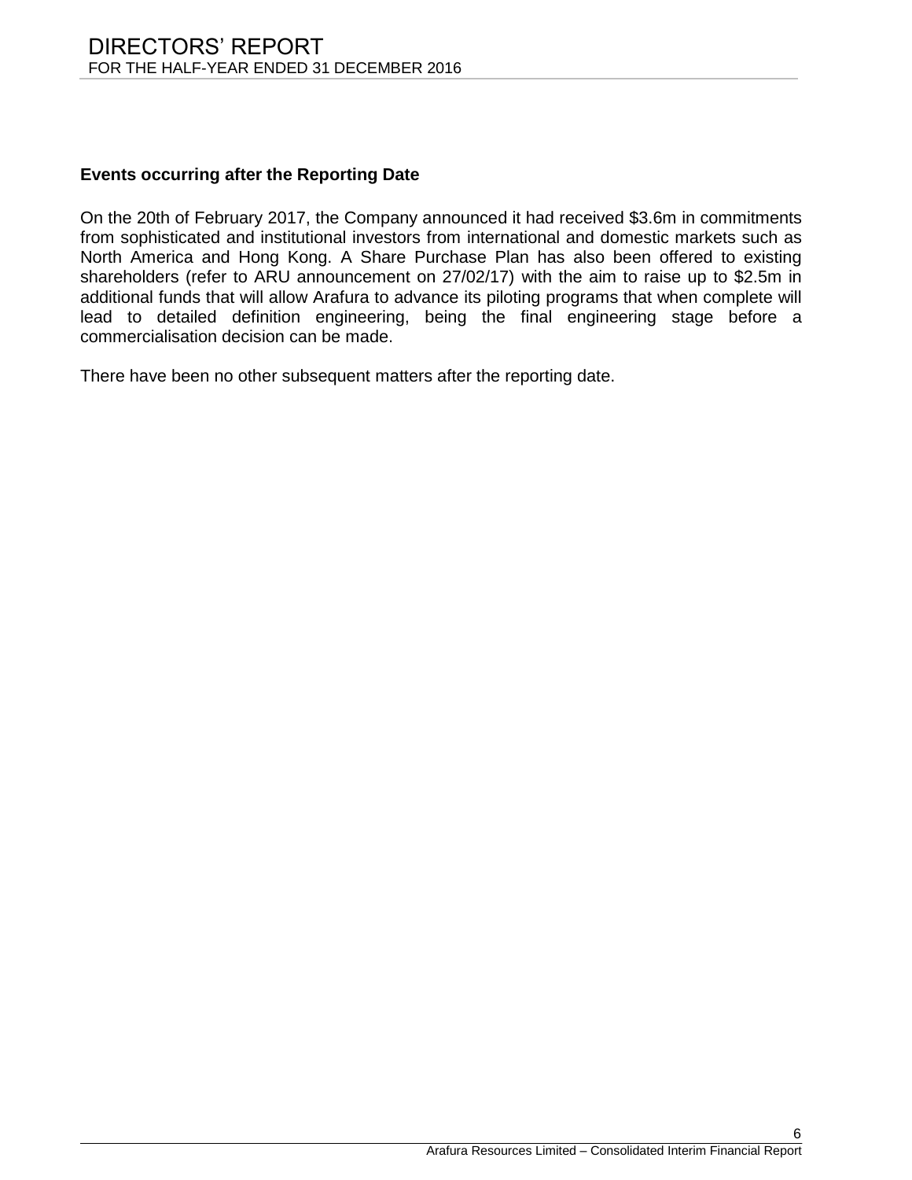#### **Events occurring after the Reporting Date**

On the 20th of February 2017, the Company announced it had received \$3.6m in commitments from sophisticated and institutional investors from international and domestic markets such as North America and Hong Kong. A Share Purchase Plan has also been offered to existing shareholders (refer to ARU announcement on 27/02/17) with the aim to raise up to \$2.5m in additional funds that will allow Arafura to advance its piloting programs that when complete will lead to detailed definition engineering, being the final engineering stage before a commercialisation decision can be made.

There have been no other subsequent matters after the reporting date.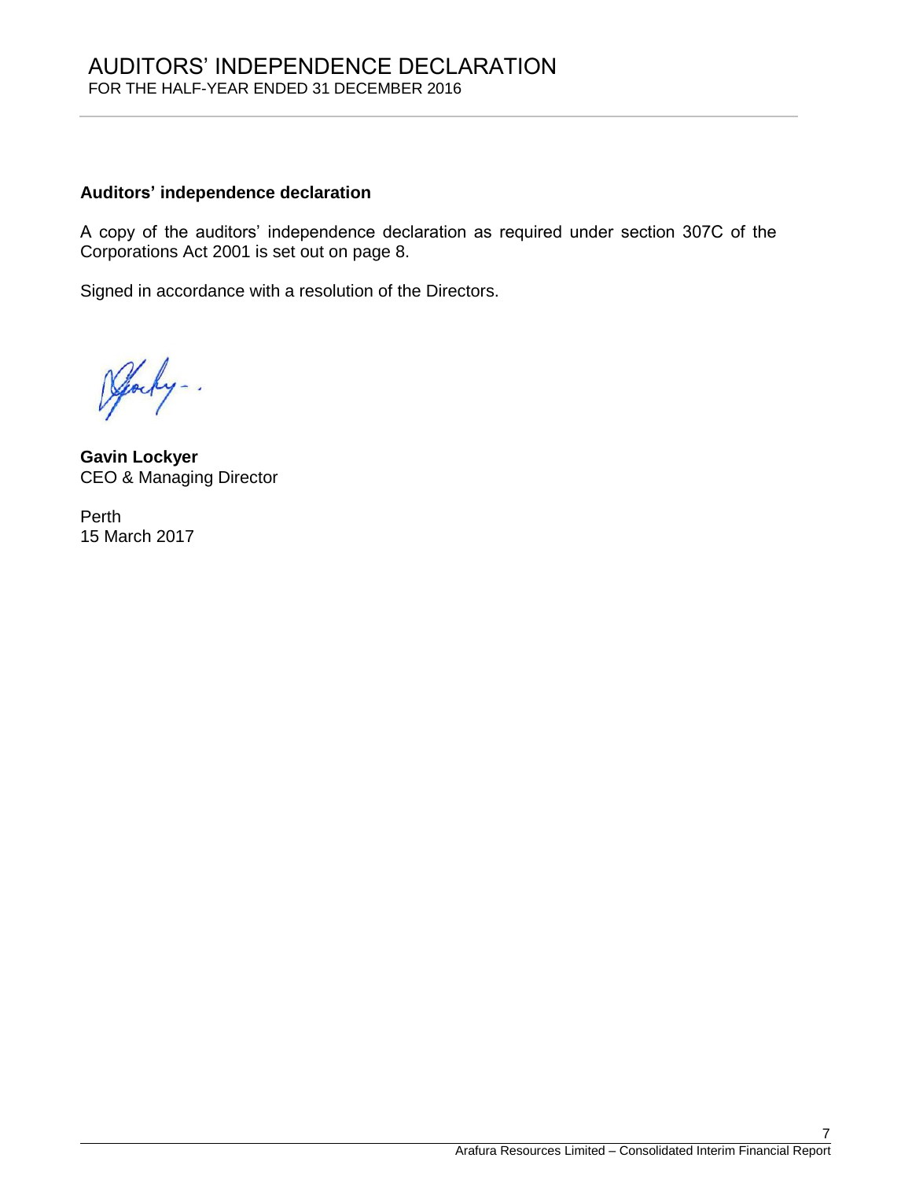# AUDITORS' INDEPENDENCE DECLARATION FOR THE HALF-YEAR ENDED 31 DECEMBER 2016

#### **Auditors' independence declaration**

A copy of the auditors' independence declaration as required under section 307C of the Corporations Act 2001 is set out on page 8.

Signed in accordance with a resolution of the Directors.

Jocky -.

**Gavin Lockyer** CEO & Managing Director

Perth 15 March 2017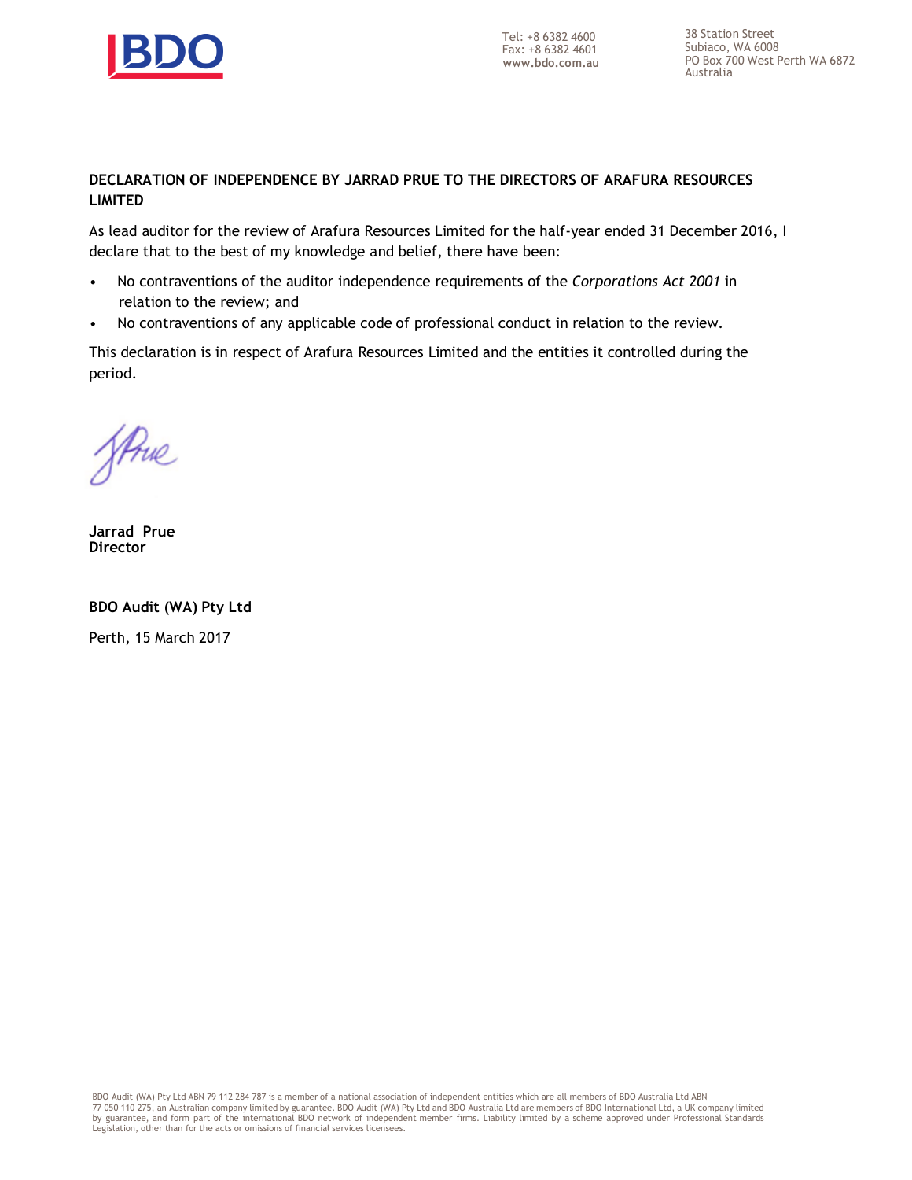

38 Station Street Subiaco, WA 6008 PO Box 700 West Perth WA 6872 Australia

#### **DECLARATION OF INDEPENDENCE BY JARRAD PRUE TO THE DIRECTORS OF ARAFURA RESOURCES LIMITED**

As lead auditor for the review of Arafura Resources Limited for the half-year ended 31 December 2016, I declare that to the best of my knowledge and belief, there have been:

- No contraventions of the auditor independence requirements of the *Corporations Act 2001* in relation to the review; and
- No contraventions of any applicable code of professional conduct in relation to the review.

This declaration is in respect of Arafura Resources Limited and the entities it controlled during the period.

Strue

**Jarrad Prue Director**

**BDO Audit (WA) Pty Ltd** Perth, 15 March 2017

BDO Audit (WA) Pty Ltd ABN 79 112 284 787 is a member of a national association of independent entities which are all members of BDO Australia Ltd ABN 77 050 110 275, an Australian company limited by guarantee. BDO Audit (WA) Pty Ltd and BDO Australia Ltd are members of BDO International Ltd, a UK company limited<br>by guarantee, and form part of the international BDO netwo Legislation, other than for the acts or omissions of financial services licensees.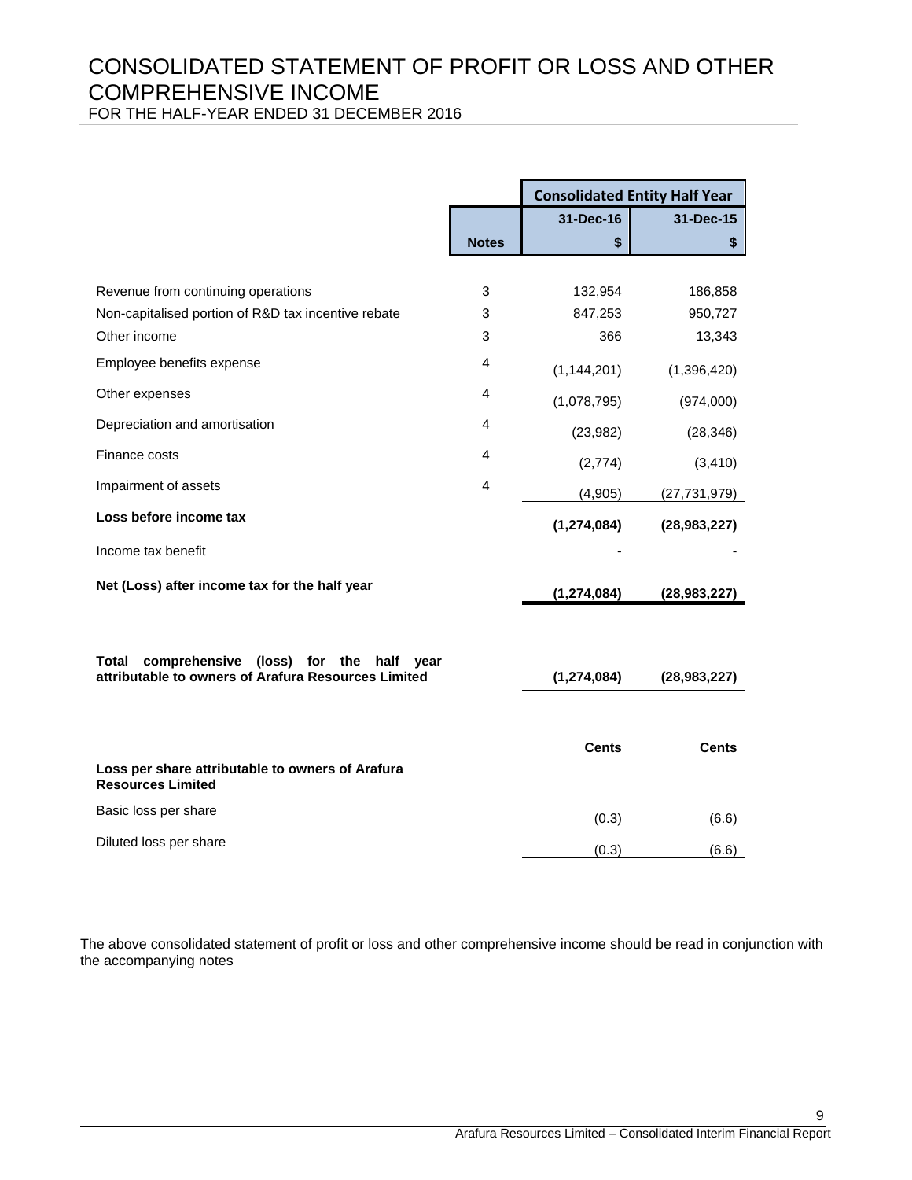# CONSOLIDATED STATEMENT OF PROFIT OR LOSS AND OTHER COMPREHENSIVE INCOME

FOR THE HALF-YEAR ENDED 31 DECEMBER 2016

|                                                                                                              |              | <b>Consolidated Entity Half Year</b> |                |
|--------------------------------------------------------------------------------------------------------------|--------------|--------------------------------------|----------------|
|                                                                                                              |              | 31-Dec-16                            | 31-Dec-15      |
|                                                                                                              | <b>Notes</b> | \$                                   | \$             |
|                                                                                                              |              |                                      |                |
| Revenue from continuing operations                                                                           | 3            | 132,954                              | 186,858        |
| Non-capitalised portion of R&D tax incentive rebate                                                          | 3            | 847,253                              | 950,727        |
| Other income                                                                                                 | 3            | 366                                  | 13,343         |
| Employee benefits expense                                                                                    | 4            | (1, 144, 201)                        | (1,396,420)    |
| Other expenses                                                                                               | 4            | (1,078,795)                          | (974,000)      |
| Depreciation and amortisation                                                                                | 4            | (23, 982)                            | (28, 346)      |
| Finance costs                                                                                                | 4            | (2,774)                              | (3, 410)       |
| Impairment of assets                                                                                         | 4            | (4,905)                              | (27, 731, 979) |
| Loss before income tax                                                                                       |              | (1, 274, 084)                        | (28, 983, 227) |
| Income tax benefit                                                                                           |              |                                      |                |
| Net (Loss) after income tax for the half year                                                                |              | (1,274,084)                          | (28, 983, 227) |
|                                                                                                              |              |                                      |                |
| Total<br>comprehensive (loss)<br>for the half<br>year<br>attributable to owners of Arafura Resources Limited |              |                                      |                |
|                                                                                                              |              | (1, 274, 084)                        | (28, 983, 227) |
|                                                                                                              |              |                                      |                |
|                                                                                                              |              | <b>Cents</b>                         | <b>Cents</b>   |
| Loss per share attributable to owners of Arafura<br><b>Resources Limited</b>                                 |              |                                      |                |
| Basic loss per share                                                                                         |              | (0.3)                                | (6.6)          |
| Diluted loss per share                                                                                       |              | (0.3)                                | (6.6)          |

The above consolidated statement of profit or loss and other comprehensive income should be read in conjunction with the accompanying notes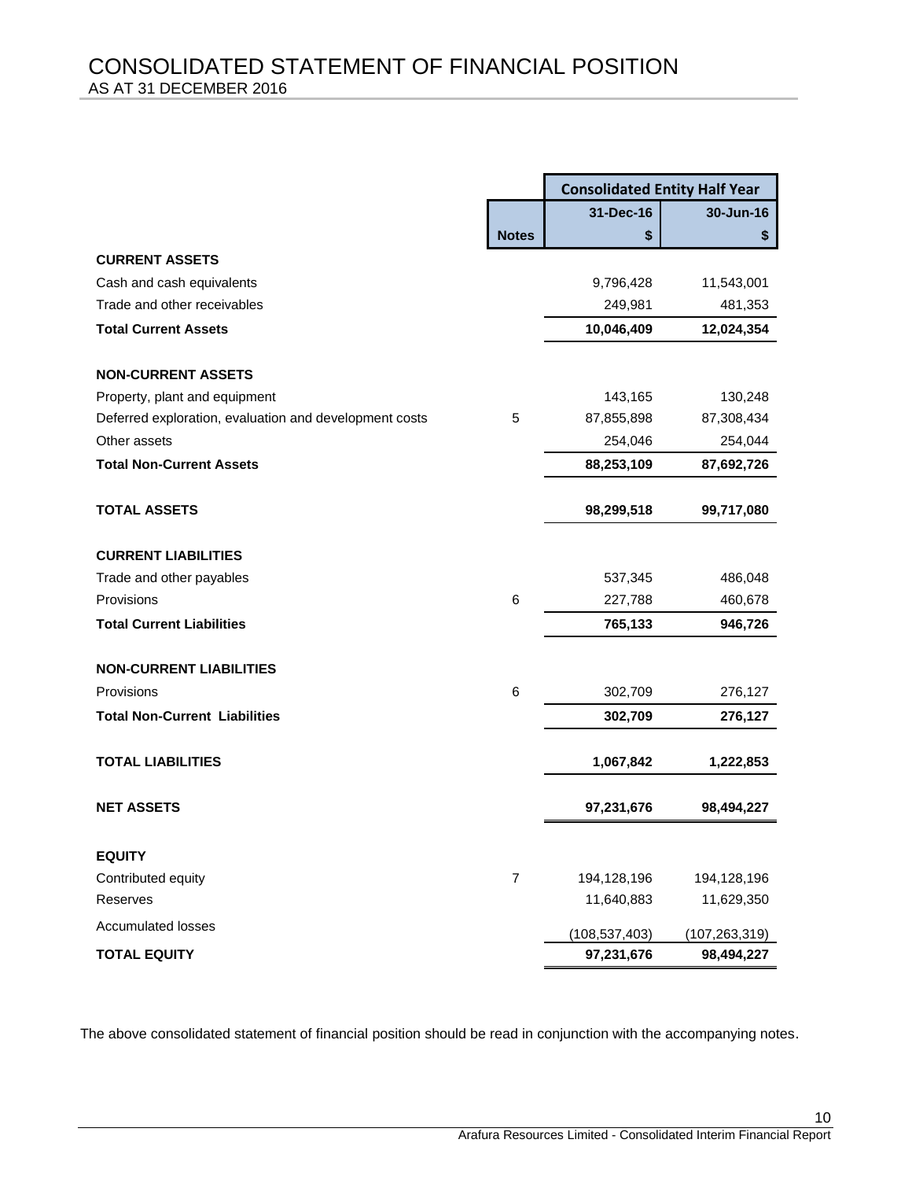|                                                        |              | <b>Consolidated Entity Half Year</b> |                 |
|--------------------------------------------------------|--------------|--------------------------------------|-----------------|
|                                                        |              | 31-Dec-16<br>30-Jun-16               |                 |
|                                                        | <b>Notes</b> | \$                                   | \$              |
| <b>CURRENT ASSETS</b>                                  |              |                                      |                 |
| Cash and cash equivalents                              |              | 9,796,428                            | 11,543,001      |
| Trade and other receivables                            |              | 249,981                              | 481,353         |
| <b>Total Current Assets</b>                            |              | 10,046,409                           | 12,024,354      |
| <b>NON-CURRENT ASSETS</b>                              |              |                                      |                 |
| Property, plant and equipment                          |              | 143,165                              | 130,248         |
| Deferred exploration, evaluation and development costs | 5            | 87,855,898                           | 87,308,434      |
| Other assets                                           |              | 254,046                              | 254,044         |
| <b>Total Non-Current Assets</b>                        |              | 88,253,109                           | 87,692,726      |
|                                                        |              |                                      |                 |
| <b>TOTAL ASSETS</b>                                    |              | 98,299,518                           | 99,717,080      |
| <b>CURRENT LIABILITIES</b>                             |              |                                      |                 |
| Trade and other payables                               |              | 537,345                              | 486,048         |
| Provisions                                             | 6            | 227,788                              | 460,678         |
| <b>Total Current Liabilities</b>                       |              | 765,133                              | 946,726         |
|                                                        |              |                                      |                 |
| <b>NON-CURRENT LIABILITIES</b>                         |              |                                      |                 |
| Provisions                                             | 6            | 302,709                              | 276,127         |
| <b>Total Non-Current Liabilities</b>                   |              | 302,709                              | 276,127         |
| <b>TOTAL LIABILITIES</b>                               |              | 1,067,842                            | 1,222,853       |
|                                                        |              |                                      |                 |
| <b>NET ASSETS</b>                                      |              | 97,231,676                           | 98,494,227      |
| <b>EQUITY</b>                                          |              |                                      |                 |
| Contributed equity                                     | 7            | 194,128,196                          | 194,128,196     |
| Reserves                                               |              | 11,640,883                           | 11,629,350      |
| <b>Accumulated losses</b>                              |              | (108, 537, 403)                      | (107, 263, 319) |
| <b>TOTAL EQUITY</b>                                    |              | 97,231,676                           | 98,494,227      |

The above consolidated statement of financial position should be read in conjunction with the accompanying notes.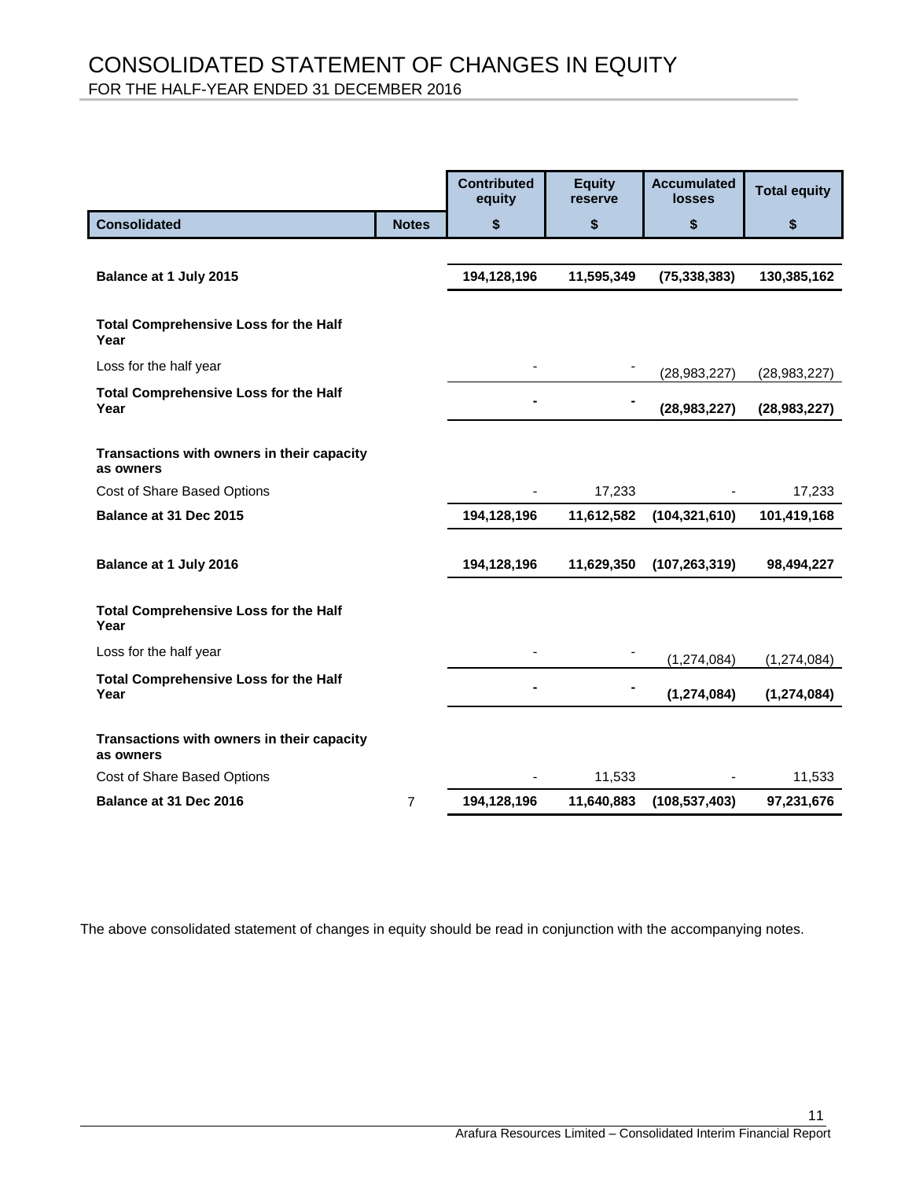# CONSOLIDATED STATEMENT OF CHANGES IN EQUITY FOR THE HALF-YEAR ENDED 31 DECEMBER 2016

|                                                         |                | <b>Contributed</b><br>equity | <b>Equity</b><br>reserve | <b>Accumulated</b><br><b>losses</b> | <b>Total equity</b> |
|---------------------------------------------------------|----------------|------------------------------|--------------------------|-------------------------------------|---------------------|
| <b>Consolidated</b>                                     | <b>Notes</b>   | \$                           | \$                       | \$                                  | \$                  |
|                                                         |                |                              |                          |                                     |                     |
| Balance at 1 July 2015                                  |                | 194,128,196                  | 11,595,349               | (75, 338, 383)                      | 130,385,162         |
| <b>Total Comprehensive Loss for the Half</b><br>Year    |                |                              |                          |                                     |                     |
| Loss for the half year                                  |                |                              |                          | (28, 983, 227)                      | (28, 983, 227)      |
| <b>Total Comprehensive Loss for the Half</b><br>Year    |                |                              |                          | (28, 983, 227)                      | (28, 983, 227)      |
| Transactions with owners in their capacity<br>as owners |                |                              |                          |                                     |                     |
| Cost of Share Based Options                             |                |                              | 17,233                   |                                     | 17,233              |
| Balance at 31 Dec 2015                                  |                | 194,128,196                  | 11,612,582               | (104, 321, 610)                     | 101,419,168         |
| Balance at 1 July 2016                                  |                | 194,128,196                  | 11,629,350               | (107, 263, 319)                     | 98,494,227          |
| <b>Total Comprehensive Loss for the Half</b><br>Year    |                |                              |                          |                                     |                     |
| Loss for the half year                                  |                |                              |                          | (1, 274, 084)                       | (1, 274, 084)       |
| <b>Total Comprehensive Loss for the Half</b><br>Year    |                |                              |                          | (1, 274, 084)                       | (1, 274, 084)       |
| Transactions with owners in their capacity<br>as owners |                |                              |                          |                                     |                     |
| Cost of Share Based Options                             |                |                              | 11,533                   |                                     | 11,533              |
| Balance at 31 Dec 2016                                  | $\overline{7}$ | 194,128,196                  | 11,640,883               | (108, 537, 403)                     | 97,231,676          |

The above consolidated statement of changes in equity should be read in conjunction with the accompanying notes.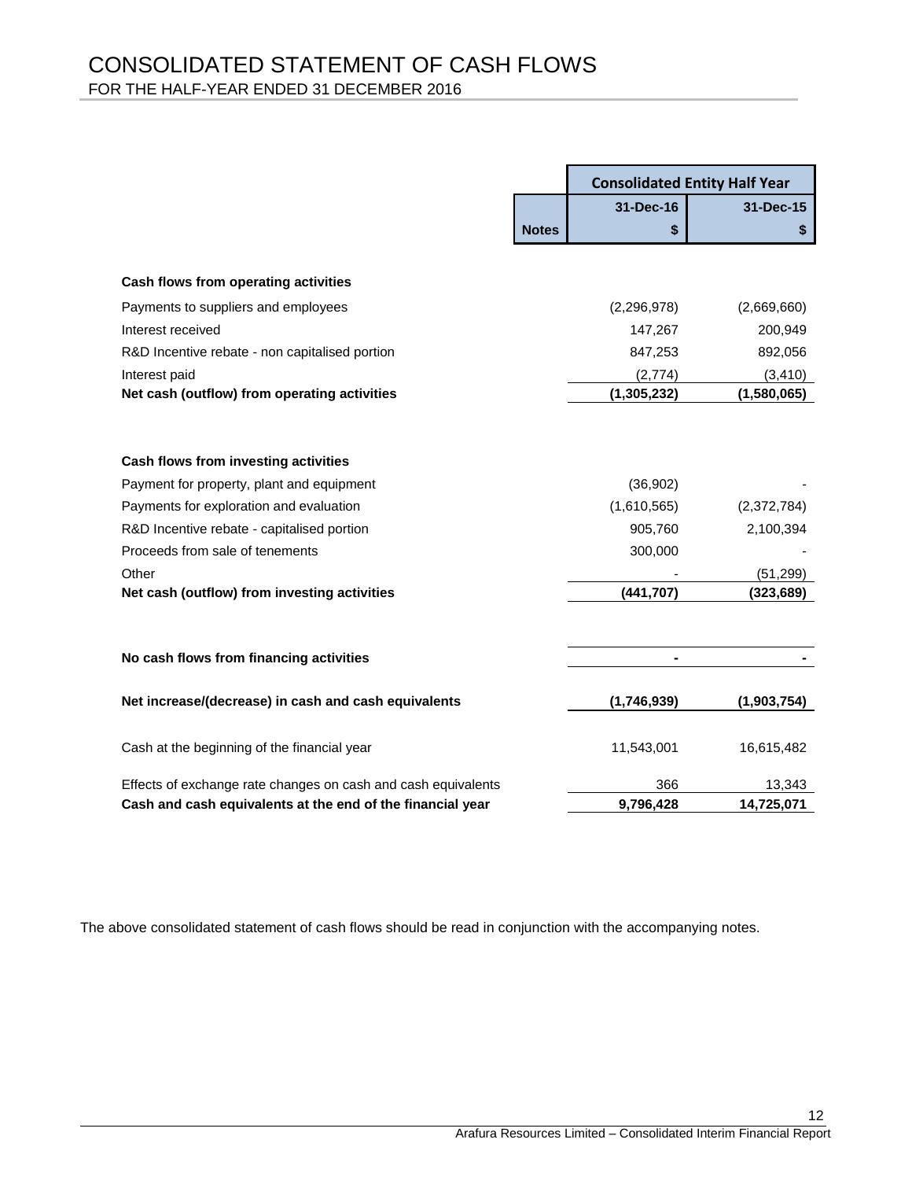# CONSOLIDATED STATEMENT OF CASH FLOWS FOR THE HALF-YEAR ENDED 31 DECEMBER 2016

|                                                               |              | <b>Consolidated Entity Half Year</b> |             |
|---------------------------------------------------------------|--------------|--------------------------------------|-------------|
|                                                               |              | 31-Dec-16                            | 31-Dec-15   |
|                                                               | <b>Notes</b> | \$                                   | \$          |
|                                                               |              |                                      |             |
| Cash flows from operating activities                          |              |                                      |             |
| Payments to suppliers and employees                           |              | (2,296,978)                          | (2,669,660) |
| Interest received                                             |              | 147,267                              | 200,949     |
| R&D Incentive rebate - non capitalised portion                |              | 847,253                              | 892,056     |
| Interest paid                                                 |              | (2,774)                              | (3, 410)    |
| Net cash (outflow) from operating activities                  |              | (1, 305, 232)                        | (1,580,065) |
|                                                               |              |                                      |             |
| Cash flows from investing activities                          |              |                                      |             |
| Payment for property, plant and equipment                     |              | (36,902)                             |             |
| Payments for exploration and evaluation                       |              | (1,610,565)                          | (2,372,784) |
| R&D Incentive rebate - capitalised portion                    |              | 905,760                              | 2,100,394   |
| Proceeds from sale of tenements                               |              | 300,000                              |             |
| Other                                                         |              |                                      | (51, 299)   |
| Net cash (outflow) from investing activities                  |              | (441, 707)                           | (323, 689)  |
|                                                               |              |                                      |             |
| No cash flows from financing activities                       |              |                                      |             |
| Net increase/(decrease) in cash and cash equivalents          |              | (1,746,939)                          | (1,903,754) |
| Cash at the beginning of the financial year                   |              | 11,543,001                           | 16,615,482  |
| Effects of exchange rate changes on cash and cash equivalents |              | 366                                  | 13,343      |
| Cash and cash equivalents at the end of the financial year    |              | 9,796,428                            | 14,725,071  |

The above consolidated statement of cash flows should be read in conjunction with the accompanying notes.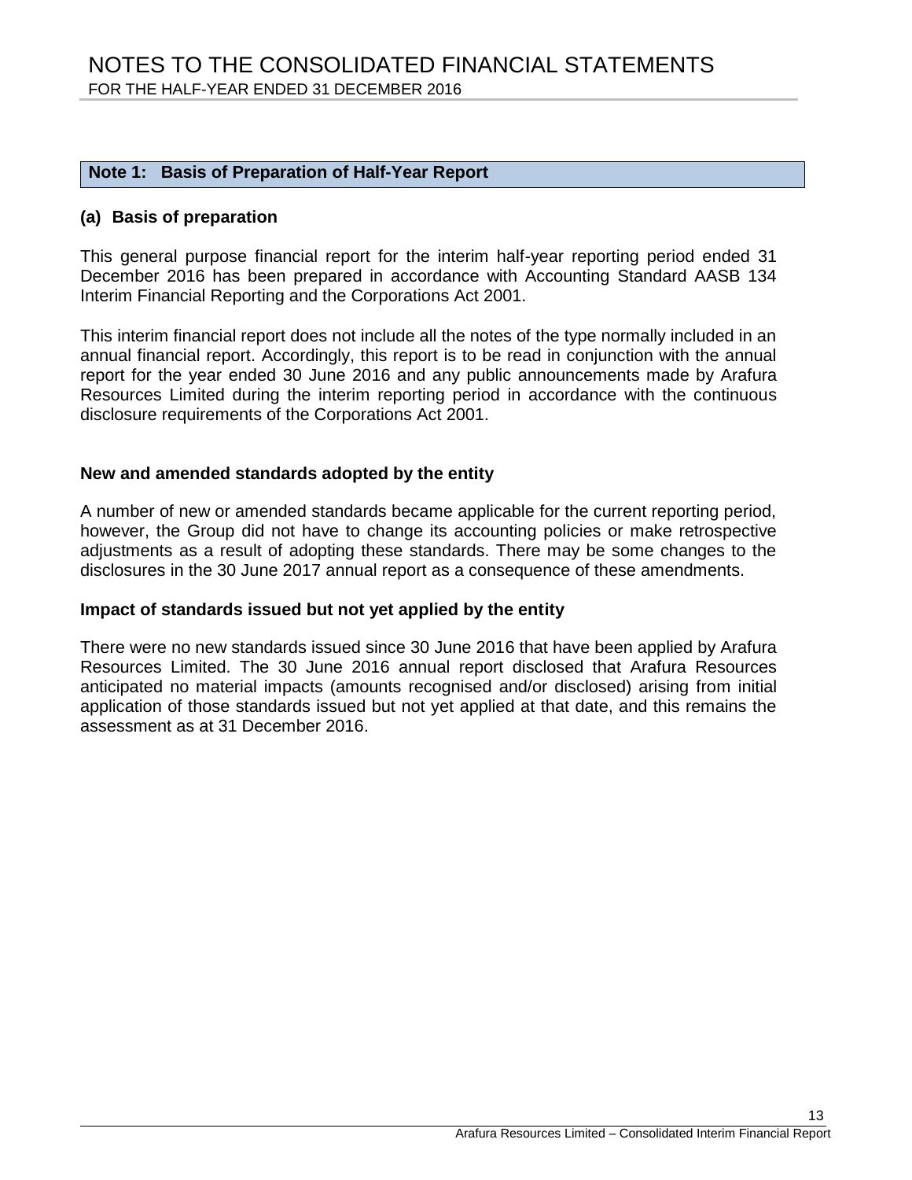#### **Note 1: Basis of Preparation of Half-Year Report**

#### **(a) Basis of preparation**

This general purpose financial report for the interim half-year reporting period ended 31 December 2016 has been prepared in accordance with Accounting Standard AASB 134 Interim Financial Reporting and the Corporations Act 2001.

This interim financial report does not include all the notes of the type normally included in an annual financial report. Accordingly, this report is to be read in conjunction with the annual report for the year ended 30 June 2016 and any public announcements made by Arafura Resources Limited during the interim reporting period in accordance with the continuous disclosure requirements of the Corporations Act 2001.

#### **New and amended standards adopted by the entity**

A number of new or amended standards became applicable for the current reporting period, however, the Group did not have to change its accounting policies or make retrospective adjustments as a result of adopting these standards. There may be some changes to the disclosures in the 30 June 2017 annual report as a consequence of these amendments.

#### **Impact of standards issued but not yet applied by the entity**

There were no new standards issued since 30 June 2016 that have been applied by Arafura Resources Limited. The 30 June 2016 annual report disclosed that Arafura Resources anticipated no material impacts (amounts recognised and/or disclosed) arising from initial application of those standards issued but not yet applied at that date, and this remains the assessment as at 31 December 2016.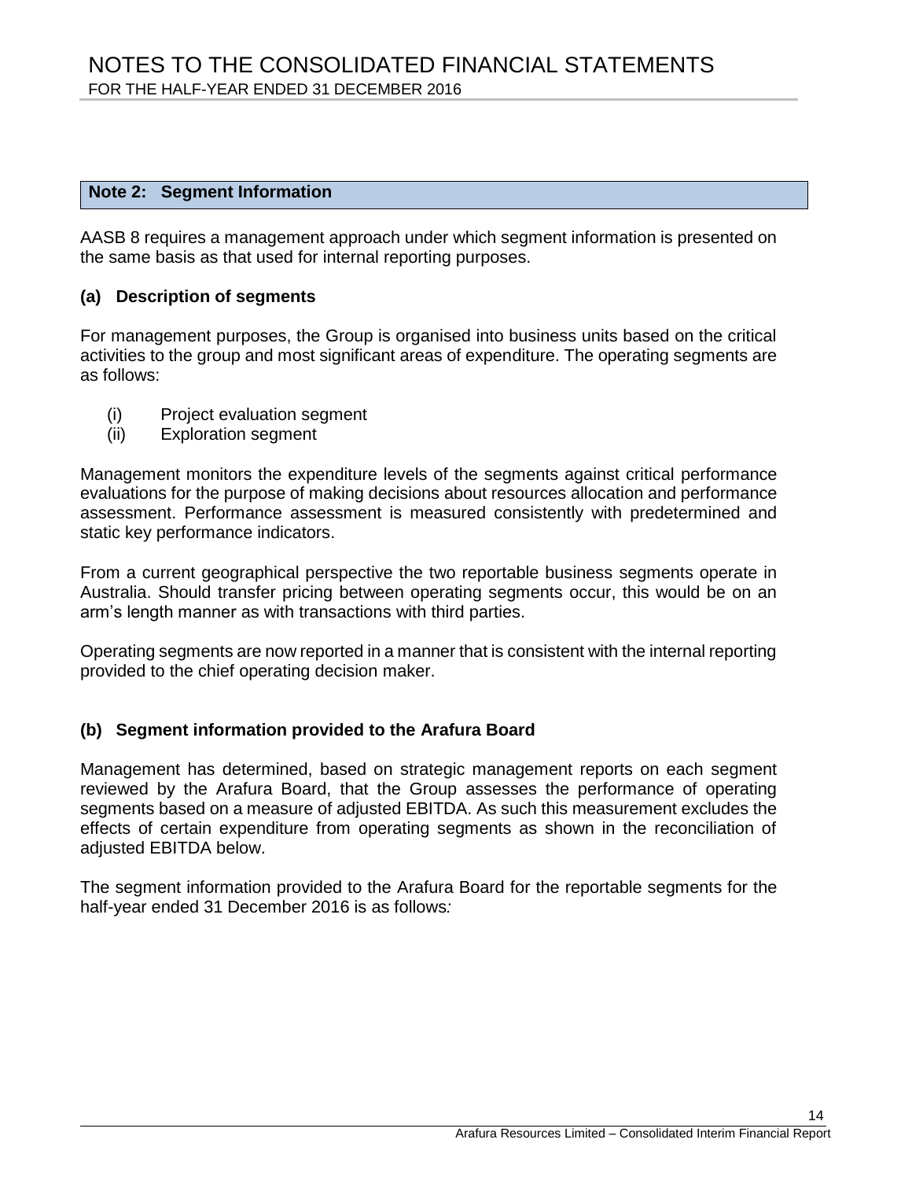#### **Note 2: Segment Information**

AASB 8 requires a management approach under which segment information is presented on the same basis as that used for internal reporting purposes.

#### **(a) Description of segments**

For management purposes, the Group is organised into business units based on the critical activities to the group and most significant areas of expenditure. The operating segments are as follows:

- (i) Project evaluation segment
- (ii) Exploration segment

Management monitors the expenditure levels of the segments against critical performance evaluations for the purpose of making decisions about resources allocation and performance assessment. Performance assessment is measured consistently with predetermined and static key performance indicators.

From a current geographical perspective the two reportable business segments operate in Australia. Should transfer pricing between operating segments occur, this would be on an arm's length manner as with transactions with third parties.

Operating segments are now reported in a manner that is consistent with the internal reporting provided to the chief operating decision maker.

## **(b) Segment information provided to the Arafura Board**

Management has determined, based on strategic management reports on each segment reviewed by the Arafura Board, that the Group assesses the performance of operating segments based on a measure of adjusted EBITDA. As such this measurement excludes the effects of certain expenditure from operating segments as shown in the reconciliation of adjusted EBITDA below.

The segment information provided to the Arafura Board for the reportable segments for the half-year ended 31 December 2016 is as follows*:*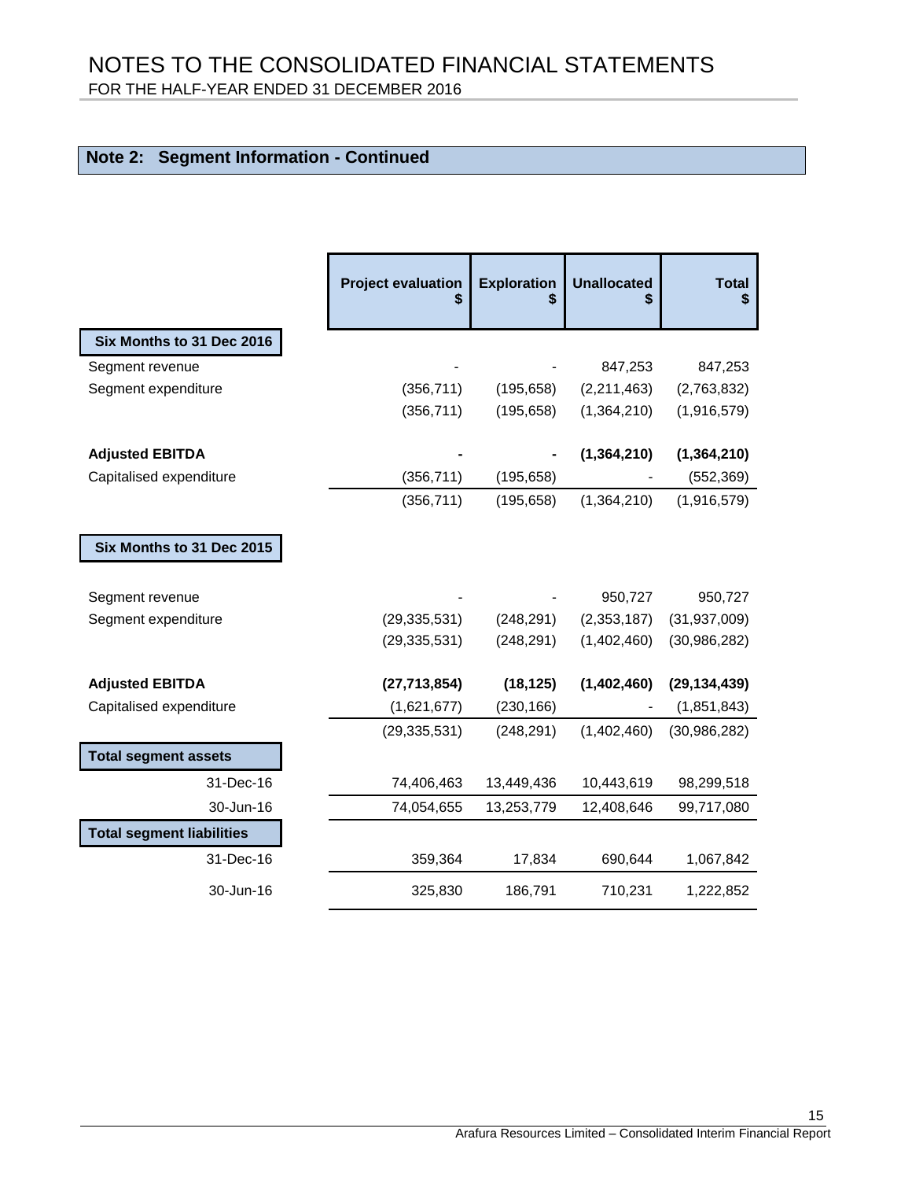# **Note 2: Segment Information - Continued**

|                                  | <b>Project evaluation</b><br>\$ | <b>Exploration</b> | <b>Unallocated</b> | <b>Total</b><br>\$ |
|----------------------------------|---------------------------------|--------------------|--------------------|--------------------|
| Six Months to 31 Dec 2016        |                                 |                    |                    |                    |
| Segment revenue                  |                                 |                    | 847,253            | 847,253            |
| Segment expenditure              | (356, 711)                      | (195, 658)         | (2,211,463)        | (2,763,832)        |
|                                  | (356, 711)                      | (195, 658)         | (1,364,210)        | (1,916,579)        |
| <b>Adjusted EBITDA</b>           |                                 |                    | (1, 364, 210)      | (1, 364, 210)      |
| Capitalised expenditure          | (356, 711)                      | (195, 658)         |                    | (552, 369)         |
|                                  | (356, 711)                      | (195, 658)         | (1,364,210)        | (1,916,579)        |
| Six Months to 31 Dec 2015        |                                 |                    |                    |                    |
| Segment revenue                  |                                 |                    | 950,727            | 950,727            |
| Segment expenditure              | (29, 335, 531)                  | (248, 291)         | (2,353,187)        | (31, 937, 009)     |
|                                  | (29, 335, 531)                  | (248, 291)         | (1,402,460)        | (30, 986, 282)     |
| <b>Adjusted EBITDA</b>           | (27, 713, 854)                  | (18, 125)          | (1,402,460)        | (29, 134, 439)     |
| Capitalised expenditure          | (1,621,677)                     | (230, 166)         |                    | (1,851,843)        |
|                                  | (29, 335, 531)                  | (248, 291)         | (1,402,460)        | (30, 986, 282)     |
| <b>Total segment assets</b>      |                                 |                    |                    |                    |
| 31-Dec-16                        | 74,406,463                      | 13,449,436         | 10,443,619         | 98,299,518         |
| 30-Jun-16                        | 74,054,655                      | 13,253,779         | 12,408,646         | 99,717,080         |
| <b>Total segment liabilities</b> |                                 |                    |                    |                    |
| 31-Dec-16                        | 359,364                         | 17,834             | 690,644            | 1,067,842          |
| 30-Jun-16                        | 325,830                         | 186,791            | 710,231            | 1,222,852          |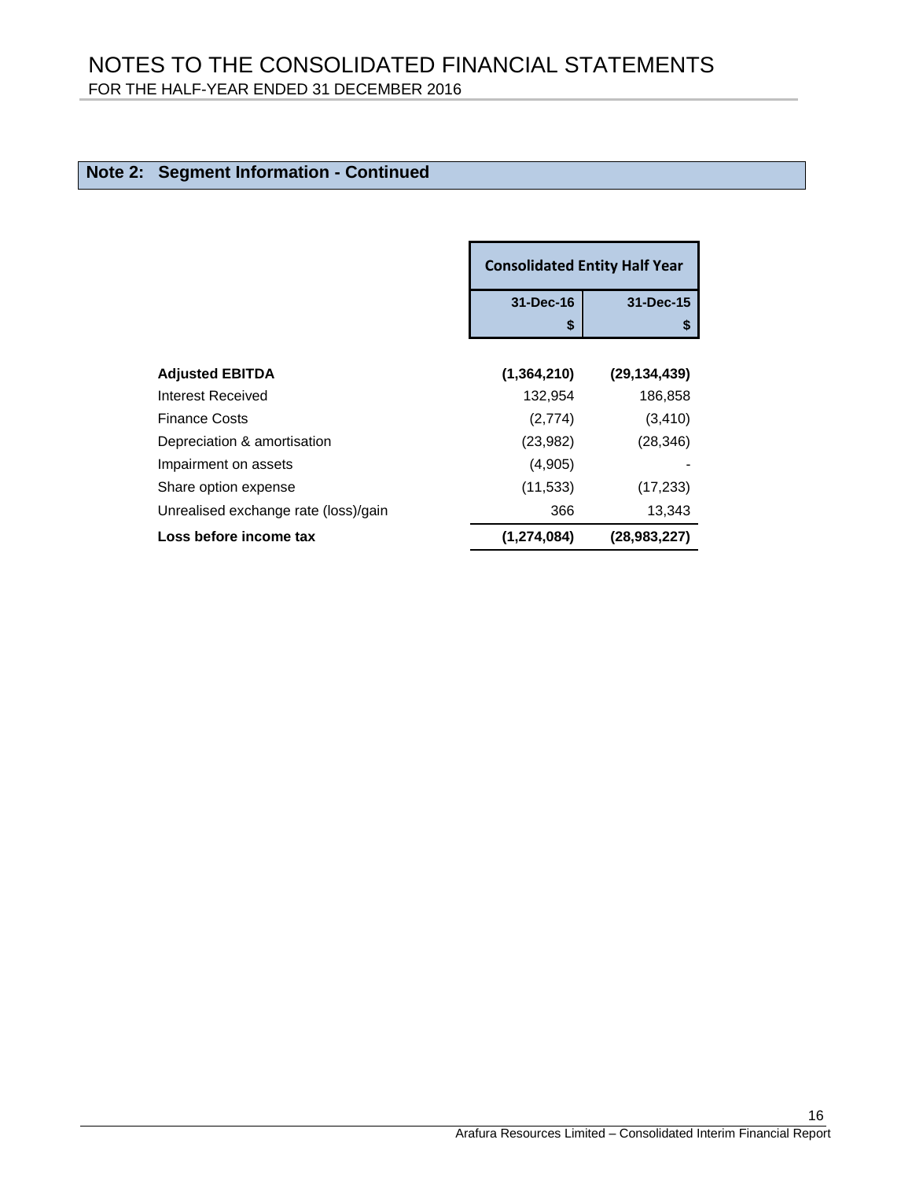# **Note 2: Segment Information - Continued**

|                                      | <b>Consolidated Entity Half Year</b> |                |  |
|--------------------------------------|--------------------------------------|----------------|--|
|                                      | 31-Dec-16<br>31-Dec-15               |                |  |
|                                      | \$                                   | \$             |  |
|                                      |                                      |                |  |
| <b>Adjusted EBITDA</b>               | (1,364,210)                          | (29, 134, 439) |  |
| Interest Received                    | 132,954                              | 186,858        |  |
| <b>Finance Costs</b>                 | (2,774)                              | (3, 410)       |  |
| Depreciation & amortisation          | (23, 982)                            | (28, 346)      |  |
| Impairment on assets                 | (4,905)                              |                |  |
| Share option expense                 | (11, 533)                            | (17, 233)      |  |
| Unrealised exchange rate (loss)/gain | 366                                  | 13,343         |  |
| Loss before income tax               | (1, 274, 084)                        | (28.983.227)   |  |

l.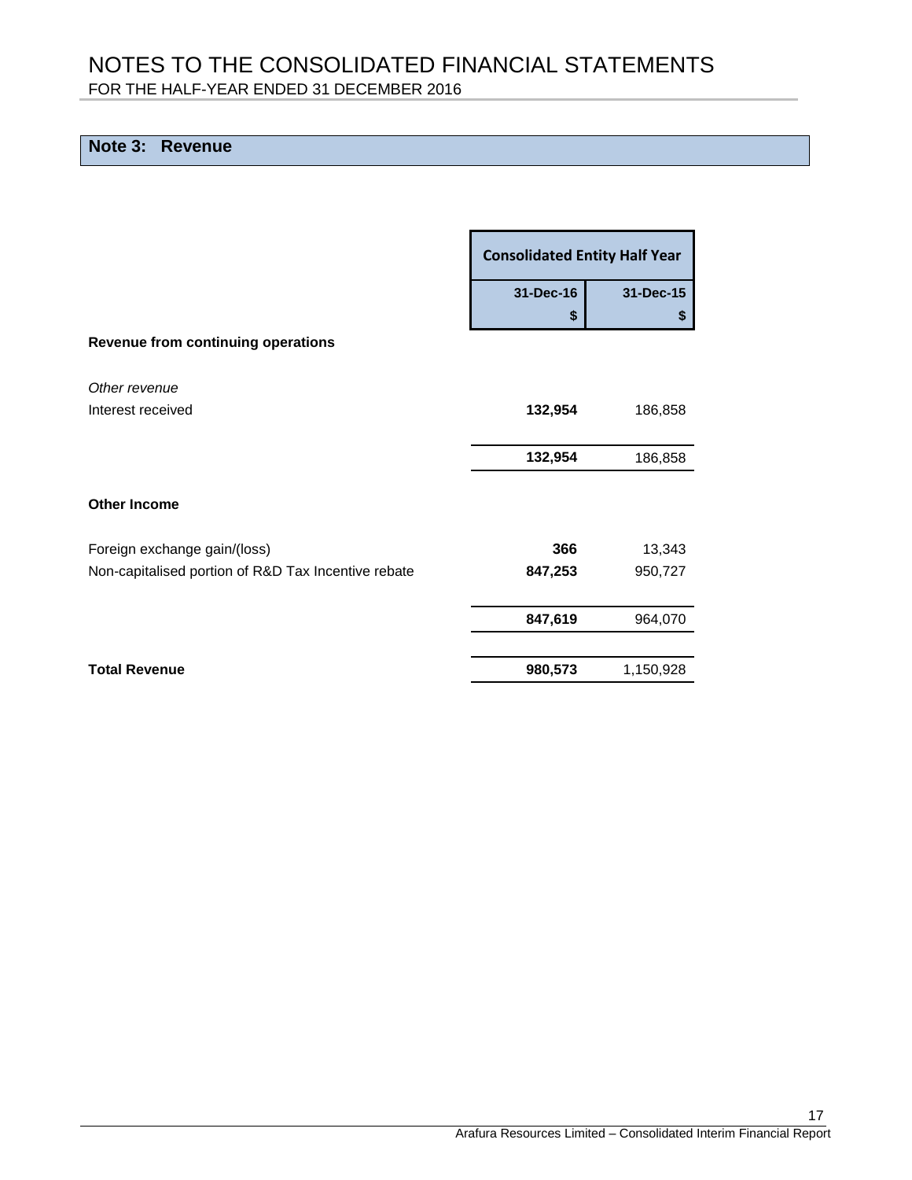# NOTES TO THE CONSOLIDATED FINANCIAL STATEMENTS FOR THE HALF-YEAR ENDED 31 DECEMBER 2016

# **Note 3: Revenue**

|                                                     | <b>Consolidated Entity Half Year</b> |           |  |
|-----------------------------------------------------|--------------------------------------|-----------|--|
|                                                     | 31-Dec-16                            | 31-Dec-15 |  |
|                                                     | \$                                   | S         |  |
| Revenue from continuing operations                  |                                      |           |  |
| Other revenue                                       |                                      |           |  |
| Interest received                                   | 132,954                              | 186,858   |  |
|                                                     | 132,954                              | 186,858   |  |
| <b>Other Income</b>                                 |                                      |           |  |
| Foreign exchange gain/(loss)                        | 366                                  | 13,343    |  |
| Non-capitalised portion of R&D Tax Incentive rebate | 847,253                              | 950,727   |  |
|                                                     | 847,619                              | 964,070   |  |
| <b>Total Revenue</b>                                | 980,573                              | 1,150,928 |  |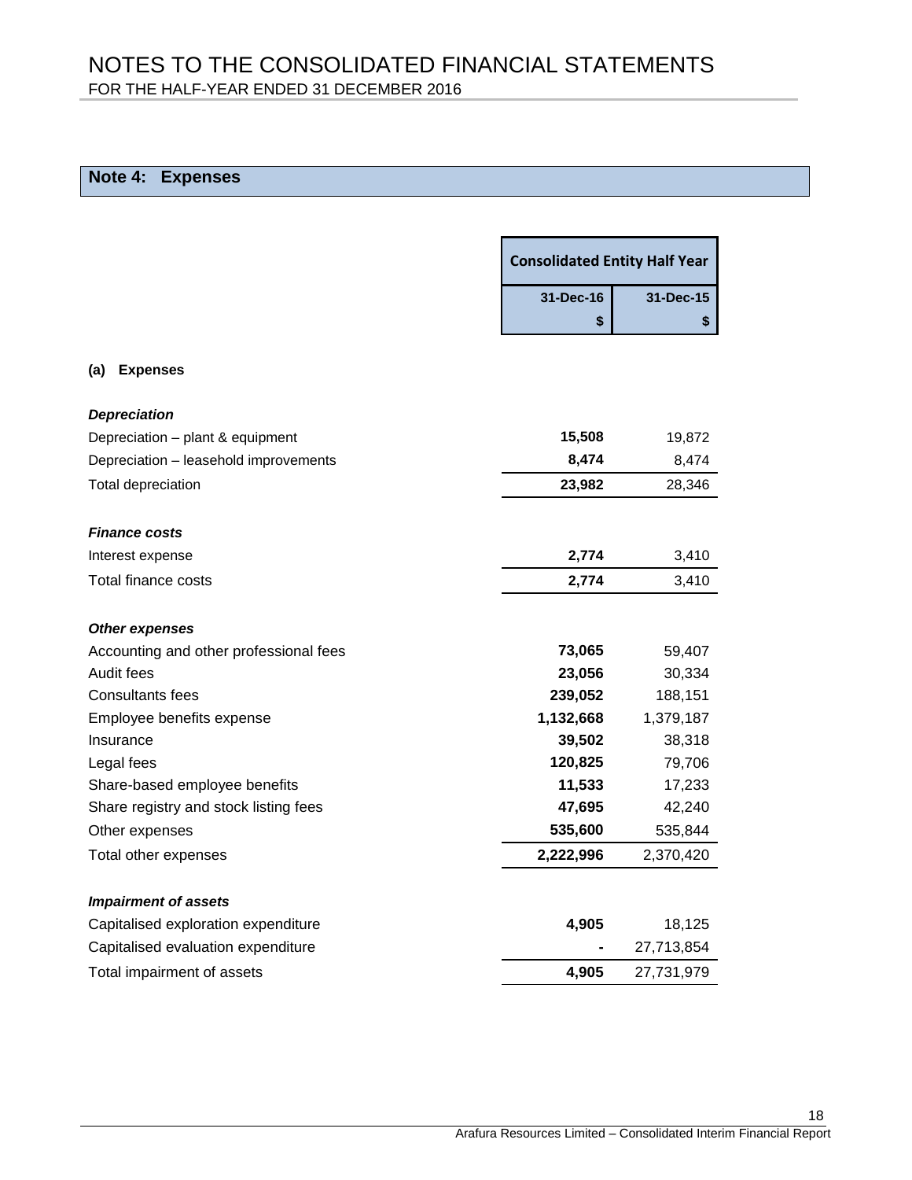# **Note 4: Expenses**

|                                        | <b>Consolidated Entity Half Year</b> |            |  |
|----------------------------------------|--------------------------------------|------------|--|
|                                        | 31-Dec-16                            | 31-Dec-15  |  |
|                                        | \$                                   | \$         |  |
|                                        |                                      |            |  |
| <b>Expenses</b><br>(a)                 |                                      |            |  |
| <b>Depreciation</b>                    |                                      |            |  |
| Depreciation - plant & equipment       | 15,508                               | 19,872     |  |
| Depreciation - leasehold improvements  | 8,474                                | 8,474      |  |
| Total depreciation                     | 23,982                               | 28,346     |  |
| <b>Finance costs</b>                   |                                      |            |  |
| Interest expense                       | 2,774                                | 3,410      |  |
| <b>Total finance costs</b>             | 2,774                                | 3,410      |  |
| <b>Other expenses</b>                  |                                      |            |  |
| Accounting and other professional fees | 73,065                               | 59,407     |  |
| Audit fees                             | 23,056                               | 30,334     |  |
| <b>Consultants fees</b>                | 239,052                              | 188,151    |  |
| Employee benefits expense              | 1,132,668                            | 1,379,187  |  |
| Insurance                              | 39,502                               | 38,318     |  |
| Legal fees                             | 120,825                              | 79,706     |  |
| Share-based employee benefits          | 11,533                               | 17,233     |  |
| Share registry and stock listing fees  | 47,695                               | 42,240     |  |
| Other expenses                         | 535,600                              | 535,844    |  |
| Total other expenses                   | 2,222,996                            | 2,370,420  |  |
| <b>Impairment of assets</b>            |                                      |            |  |
| Capitalised exploration expenditure    | 4,905                                | 18,125     |  |
| Capitalised evaluation expenditure     |                                      | 27,713,854 |  |
| Total impairment of assets             | 4,905                                | 27,731,979 |  |
|                                        |                                      |            |  |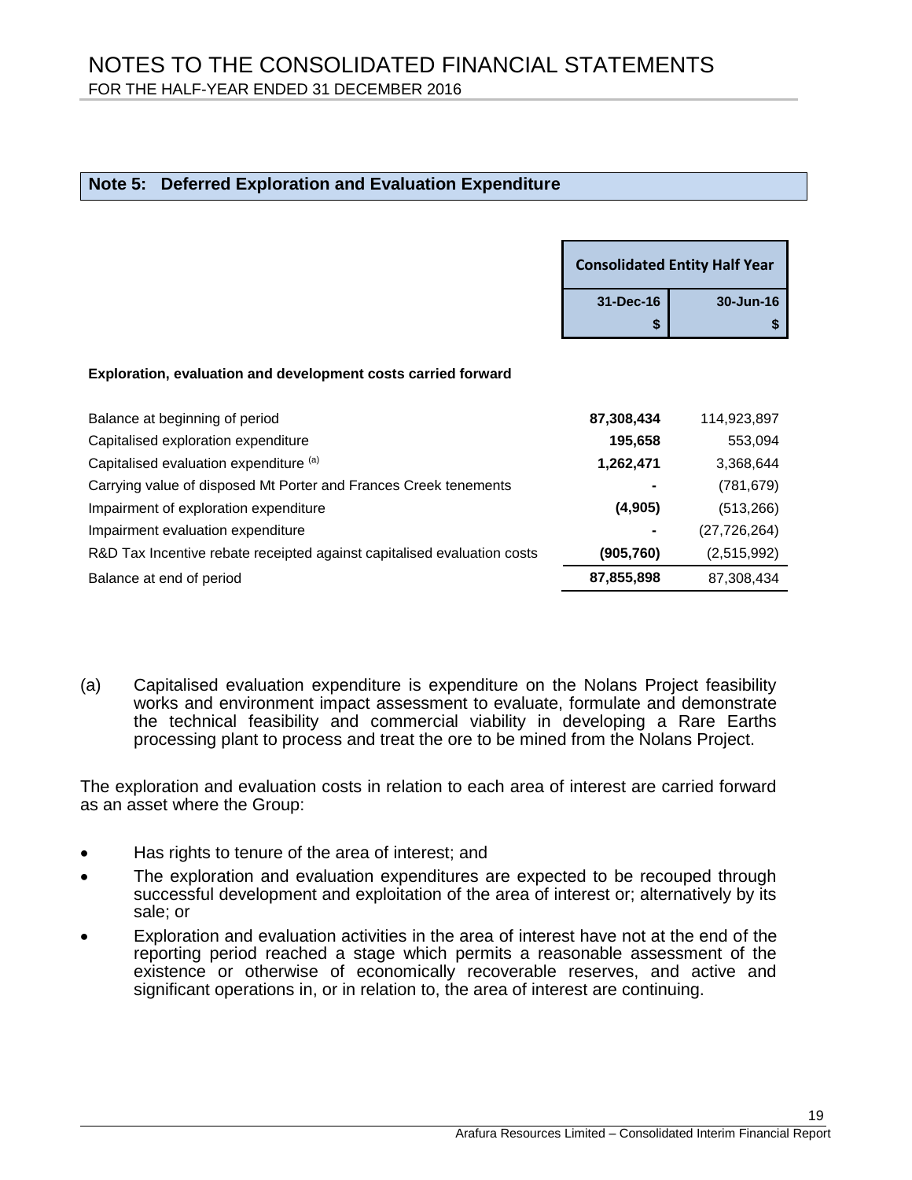#### **Note 5: Deferred Exploration and Evaluation Expenditure**

| <b>Consolidated Entity Half Year</b> |           |  |  |
|--------------------------------------|-----------|--|--|
| 31-Dec-16                            | 30-Jun-16 |  |  |
| ¢                                    |           |  |  |

#### **Exploration, evaluation and development costs carried forward**

| Balance at beginning of period                                          | 87,308,434 | 114,923,897    |
|-------------------------------------------------------------------------|------------|----------------|
| Capitalised exploration expenditure                                     | 195,658    | 553,094        |
| Capitalised evaluation expenditure (a)                                  | 1,262,471  | 3,368,644      |
| Carrying value of disposed Mt Porter and Frances Creek tenements        | ٠          | (781, 679)     |
| Impairment of exploration expenditure                                   | (4,905)    | (513, 266)     |
| Impairment evaluation expenditure                                       | ۰          | (27, 726, 264) |
| R&D Tax Incentive rebate receipted against capitalised evaluation costs | (905, 760) | (2,515,992)    |
| Balance at end of period                                                | 87,855,898 | 87,308,434     |

(a) Capitalised evaluation expenditure is expenditure on the Nolans Project feasibility works and environment impact assessment to evaluate, formulate and demonstrate the technical feasibility and commercial viability in developing a Rare Earths processing plant to process and treat the ore to be mined from the Nolans Project.

The exploration and evaluation costs in relation to each area of interest are carried forward as an asset where the Group:

- Has rights to tenure of the area of interest; and
- The exploration and evaluation expenditures are expected to be recouped through successful development and exploitation of the area of interest or; alternatively by its sale; or
- Exploration and evaluation activities in the area of interest have not at the end of the reporting period reached a stage which permits a reasonable assessment of the existence or otherwise of economically recoverable reserves, and active and significant operations in, or in relation to, the area of interest are continuing.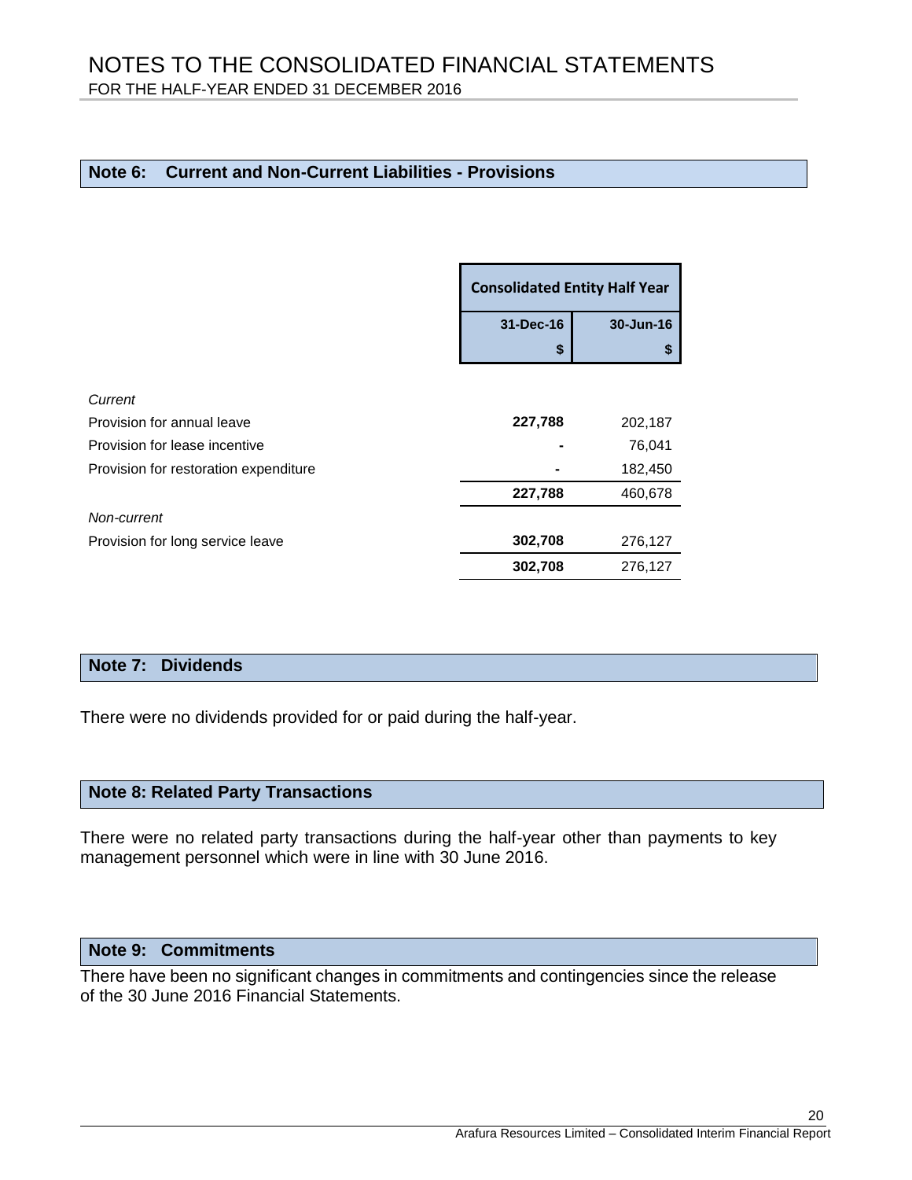# **Note 6: Current and Non-Current Liabilities - Provisions**

|                                       | <b>Consolidated Entity Half Year</b> |           |
|---------------------------------------|--------------------------------------|-----------|
|                                       | 31-Dec-16                            | 30-Jun-16 |
|                                       | \$                                   |           |
|                                       |                                      |           |
| Current                               |                                      |           |
| Provision for annual leave            | 227,788                              | 202,187   |
| Provision for lease incentive         |                                      | 76,041    |
| Provision for restoration expenditure |                                      | 182,450   |
|                                       | 227,788                              | 460,678   |
| Non-current                           |                                      |           |
| Provision for long service leave      | 302,708                              | 276,127   |
|                                       | 302,708                              | 276,127   |

#### **Note 7: Dividends**

There were no dividends provided for or paid during the half-year.

#### **Note 8: Related Party Transactions**

There were no related party transactions during the half-year other than payments to key management personnel which were in line with 30 June 2016.

# **Note 9: Commitments**

There have been no significant changes in commitments and contingencies since the release of the 30 June 2016 Financial Statements.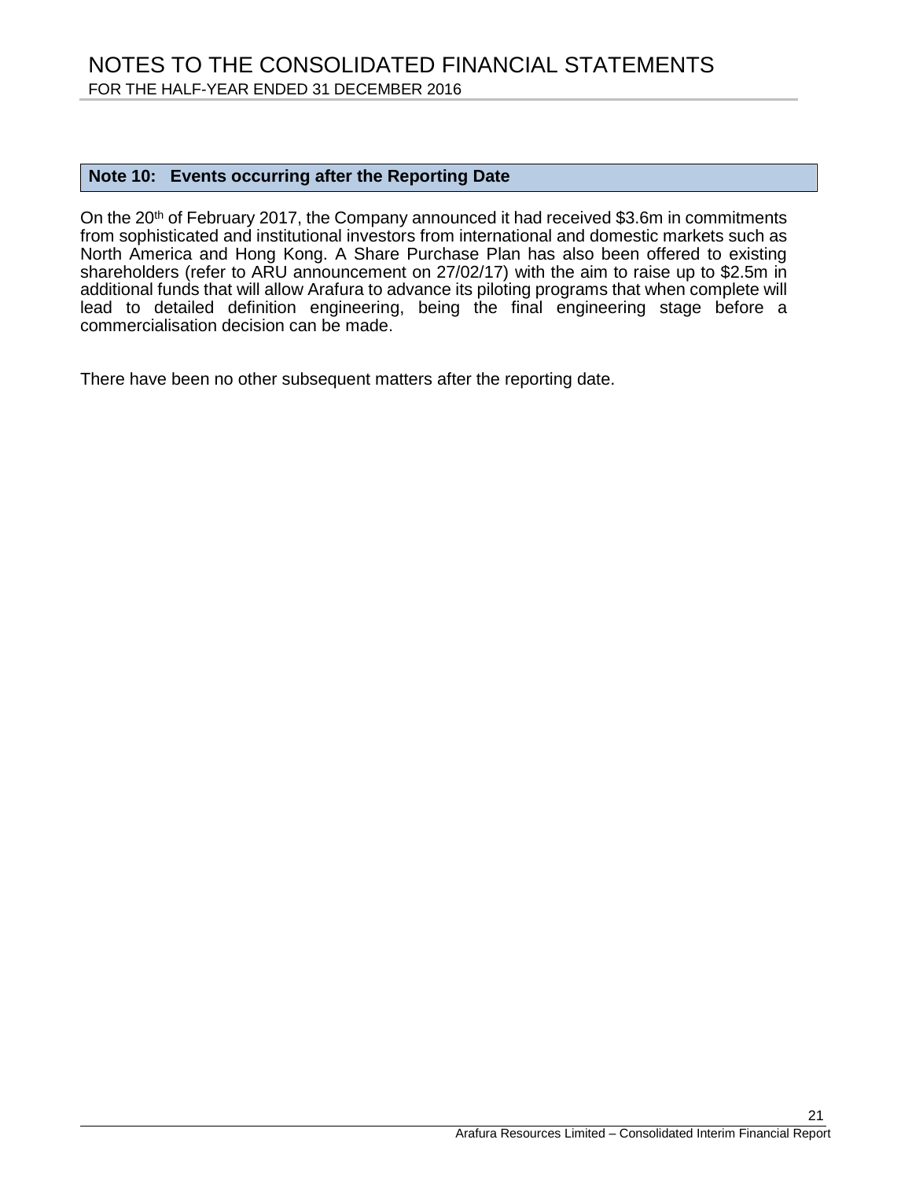#### **Note 10: Events occurring after the Reporting Date**

On the 20<sup>th</sup> of February 2017, the Company announced it had received \$3.6m in commitments from sophisticated and institutional investors from international and domestic markets such as North America and Hong Kong. A Share Purchase Plan has also been offered to existing shareholders (refer to ARU announcement on 27/02/17) with the aim to raise up to \$2.5m in additional funds that will allow Arafura to advance its piloting programs that when complete will lead to detailed definition engineering, being the final engineering stage before a commercialisation decision can be made.

There have been no other subsequent matters after the reporting date.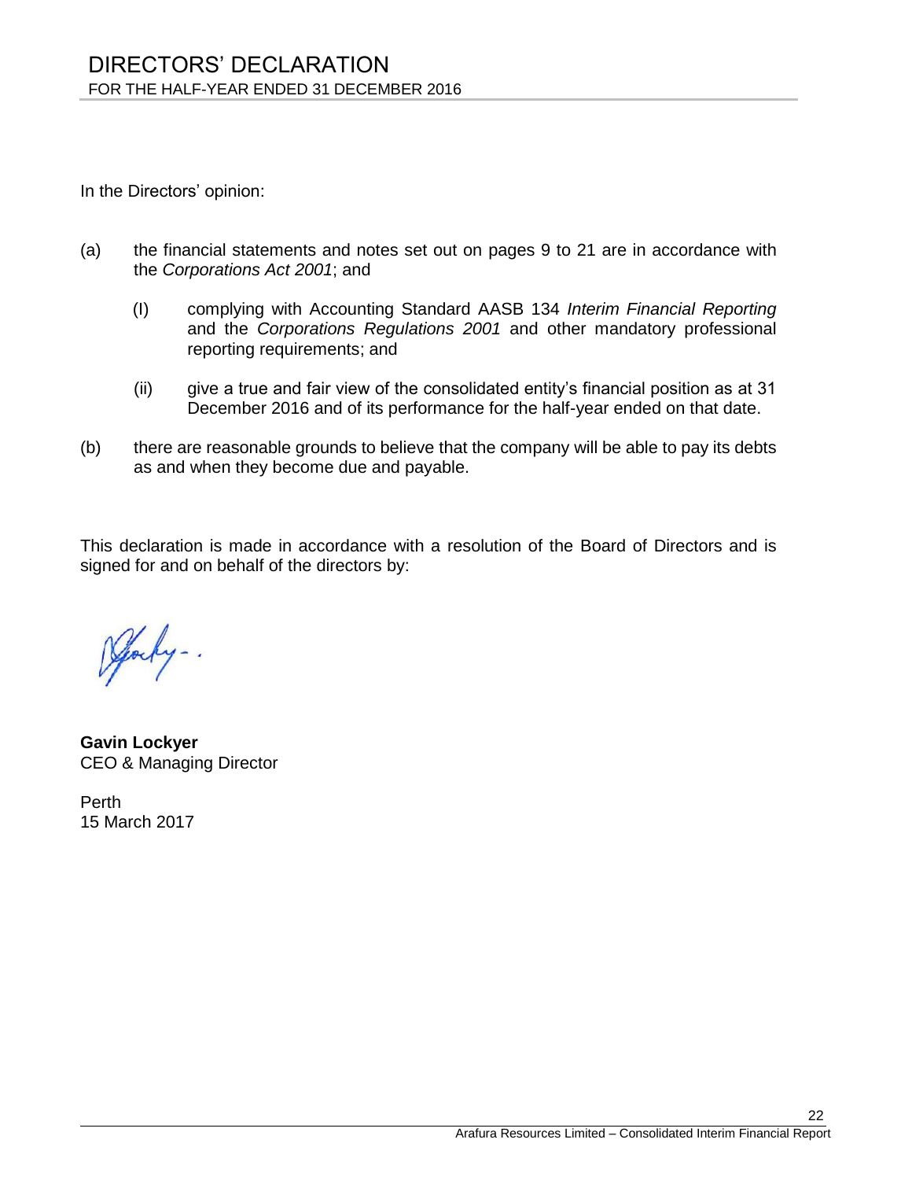In the Directors' opinion:

- (a) the financial statements and notes set out on pages 9 to 21 are in accordance with the *Corporations Act 2001*; and
	- (I) complying with Accounting Standard AASB 134 *Interim Financial Reporting* and the *Corporations Regulations 2001* and other mandatory professional reporting requirements; and
	- (ii) give a true and fair view of the consolidated entity's financial position as at 31 December 2016 and of its performance for the half-year ended on that date.
- (b) there are reasonable grounds to believe that the company will be able to pay its debts as and when they become due and payable.

This declaration is made in accordance with a resolution of the Board of Directors and is signed for and on behalf of the directors by:

Pocky -.

**Gavin Lockyer** CEO & Managing Director

Perth 15 March 2017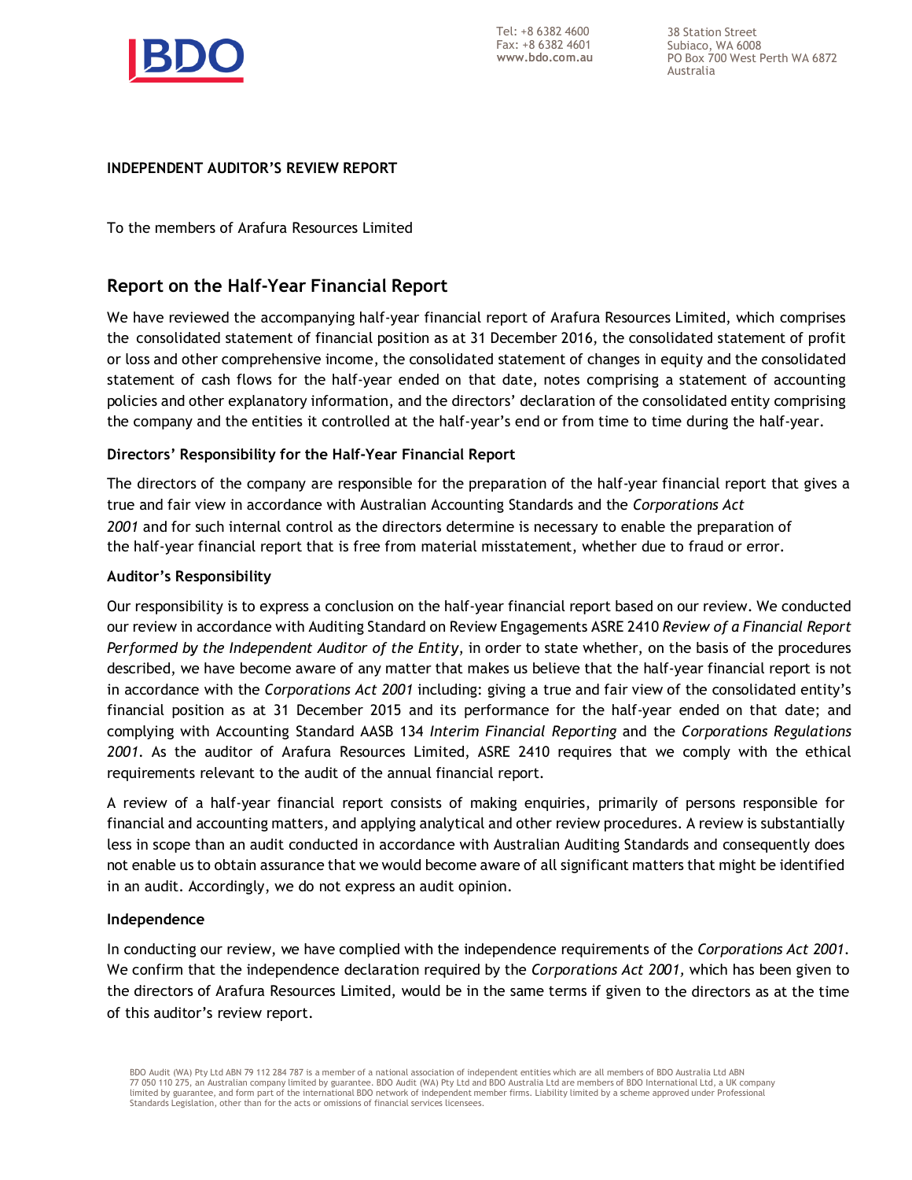

Tel: +8 6382 4600 Fax: +8 6382 4601 **[www.bdo.com.au](http://www.bdo.com.au/)** 38 Station Street Subiaco, WA 6008 PO Box 700 West Perth WA 6872 Australia

#### **INDEPENDENT AUDITOR'S REVIEW REPORT**

To the members of Arafura Resources Limited

#### **Report on the Half-Year Financial Report**

We have reviewed the accompanying half-year financial report of Arafura Resources Limited, which comprises the consolidated statement of financial position as at 31 December 2016, the consolidated statement of profit or loss and other comprehensive income, the consolidated statement of changes in equity and the consolidated statement of cash flows for the half-year ended on that date, notes comprising a statement of accounting policies and other explanatory information, and the directors' declaration of the consolidated entity comprising the company and the entities it controlled at the half-year's end or from time to time during the half-year.

#### **Directors' Responsibility for the Half-Year Financial Report**

The directors of the company are responsible for the preparation of the half-year financial report that gives a true and fair view in accordance with Australian Accounting Standards and the *Corporations Act 2001* and for such internal control as the directors determine is necessary to enable the preparation of the half-year financial report that is free from material misstatement, whether due to fraud or error.

#### **Auditor's Responsibility**

Our responsibility is to express a conclusion on the half-year financial report based on our review. We conducted our review in accordance with Auditing Standard on Review Engagements ASRE 2410 *Review of a Financial Report Performed by the Independent Auditor of the Entity*, in order to state whether, on the basis of the procedures described, we have become aware of any matter that makes us believe that the half-year financial report is not in accordance with the *Corporations Act 2001* including: giving a true and fair view of the consolidated entity's financial position as at 31 December 2015 and its performance for the half-year ended on that date; and complying with Accounting Standard AASB 134 *Interim Financial Reporting* and the *Corporations Regulations 2001*. As the auditor of Arafura Resources Limited, ASRE 2410 requires that we comply with the ethical requirements relevant to the audit of the annual financial report.

A review of a half-year financial report consists of making enquiries, primarily of persons responsible for financial and accounting matters, and applying analytical and other review procedures. A review is substantially less in scope than an audit conducted in accordance with Australian Auditing Standards and consequently does not enable us to obtain assurance that we would become aware of all significant matters that might be identified in an audit. Accordingly, we do not express an audit opinion.

#### **Independence**

In conducting our review, we have complied with the independence requirements of the *Corporations Act 2001*. We confirm that the independence declaration required by the *Corporations Act 2001,* which has been given to the directors of Arafura Resources Limited, would be in the same terms if given to the directors as at the time of this auditor's review report.